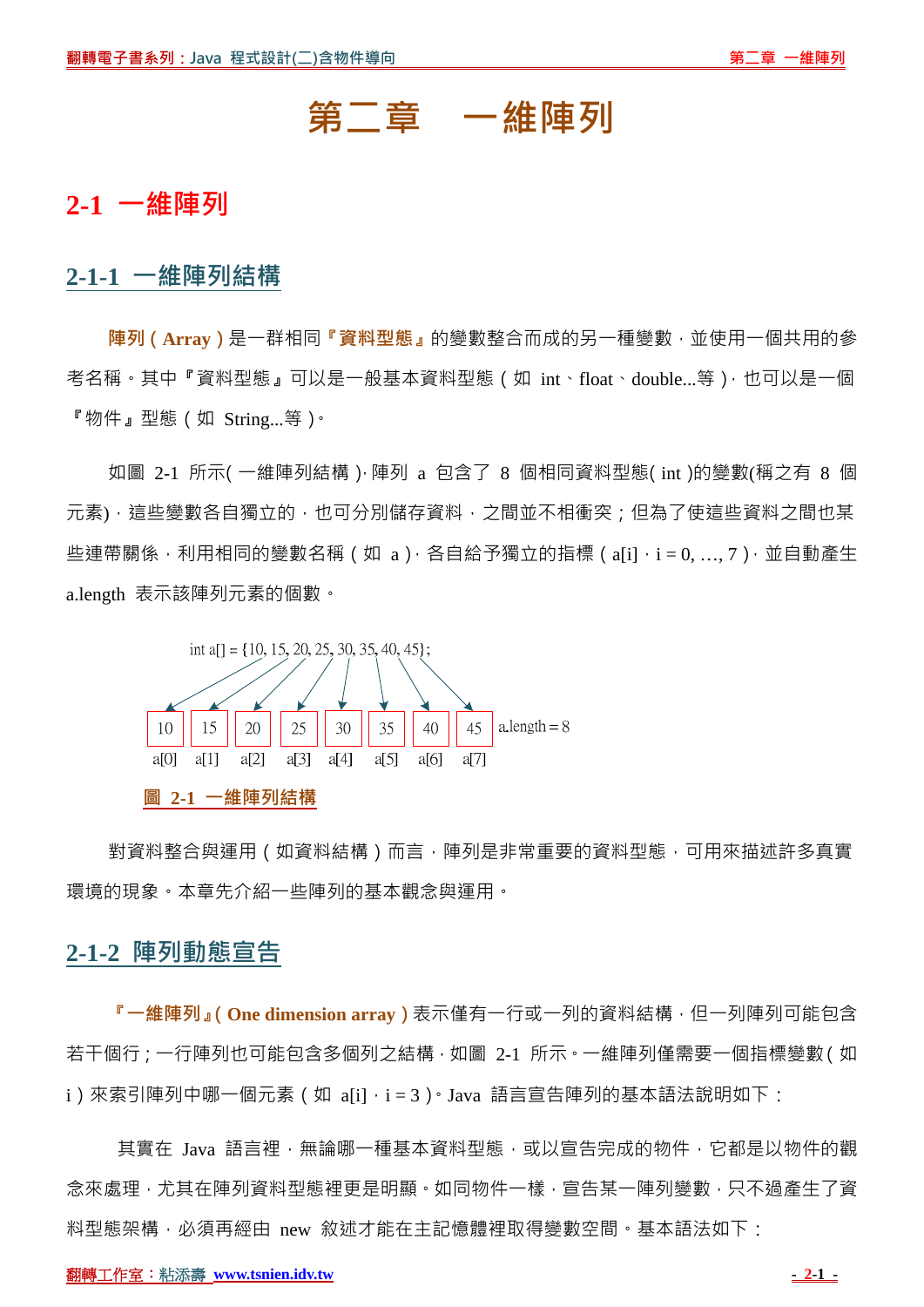# **第二章 一維陣列**

## **2-1 一維陣列**

#### **2-1-1 一維陣列結構**

**陣列(Array)**是一群相同**『資料型態』**的變數整合而成的另一種變數,並使用一個共用的參 考名稱。其中『資料型態』可以是一般基本資料型態(如 int、float、double...等),也可以是一個 『物件』型態(如 String...等)。

如圖 2-1 所示(一維陣列結構),陣列 a 包含了 8 個相同資料型態(int)的變數(稱之有 8 個 元素),這些變數各自獨立的,也可分別儲存資料,之間並不相衝突;但為了使這些資料之間也某 些連帶關係,利用相同的變數名稱 ( 如 a ), 各自給予獨立的指標 ( a[i], i = 0, ..., 7 ), 並自動產生 a.length 表示該陣列元素的個數。



對資料整合與運用(如資料結構)而言,陣列是非常重要的資料型態,可用來描述許多真實 環境的現象。本章先介紹一些陣列的基本觀念與運用。

## **2-1-2 陣列動態宣告**

**『一維陣列』(One dimension array)**表示僅有一行或一列的資料結構,但一列陣列可能包含 若干個行;一行陣列也可能包含多個列之結構,如圖 2-1 所示。一維陣列僅需要一個指標變數(如 i)來索引陣列中哪一個元素 (如 a[i],i=3)。Java 語言宣告陣列的基本語法說明如下:

其實在 Java 語言裡,無論哪一種基本資料型態,或以宣告完成的物件,它都是以物件的觀 念來處理,尤其在陣列資料型態裡更是明顯。如同物件一樣,宣告某一陣列變數,只不過產生了資 料型態架構,必須再經由 new 敘述才能在主記憶體裡取得變數空間。基本語法如下: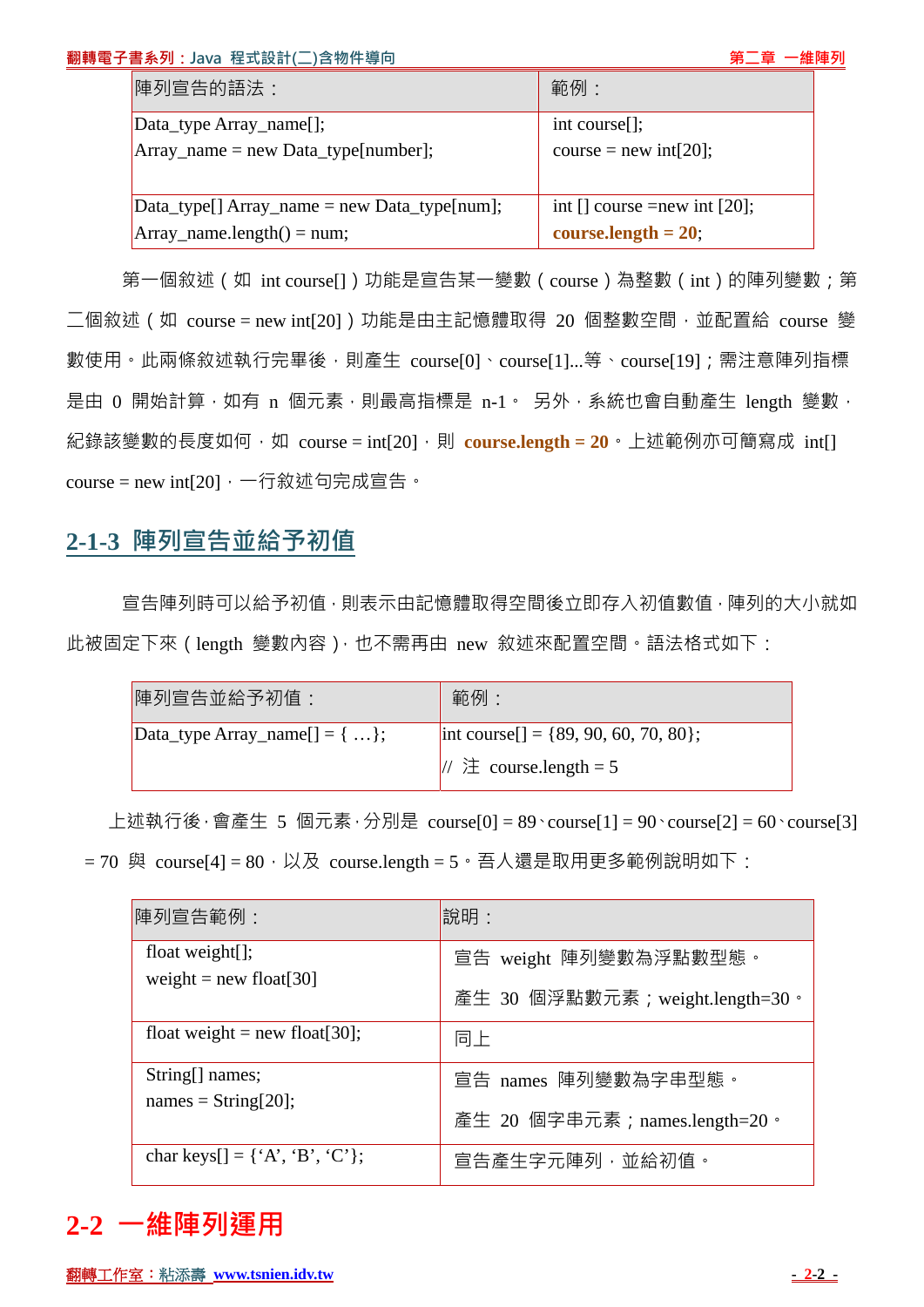#### 翻轉電子書系列: Java 程式設計(二)含物件導向

| 陣列宣告的語法:                                       | 範例:                                                |  |  |
|------------------------------------------------|----------------------------------------------------|--|--|
| Data_type Array_name[];                        | $int course[]$ ;                                   |  |  |
| $Array_name = new Data_type[number];$          | course = new int[20];                              |  |  |
|                                                |                                                    |  |  |
| $Data_type[] Array_name = new Data_type[num];$ | int $\lceil$ course = new int $\lceil 20 \rceil$ ; |  |  |
| $Array_name.length() = num;$                   | course.length $= 20$ ;                             |  |  |

第一個敘述 (如 int course[]) 功能是宣告某一變數 ( course ) 為整數 ( int ) 的陣列變數; 第  $\Box$ 個敘述 (如 course = new int[20] )功能是由主記憶體取得 20 個整數空間,並配置給 course 變 數使用。此兩條敘述執行完畢後,則產生 course[0]、course[1]...等、course[19];需注意陣列指標 是由 0 開始計算, 如有 n 個元素, 則最高指標是 n-1。 另外, 系統也會自動產生 length 變數, 紀錄該變數的長度如何, 如 course = int[20], 則 course.length = 20 · 上述範例亦可簡寫成 int[] course = new int[20]  $\cdot$  一行敘述句完成宣告  $\cdot$ 

## **2-1-3 陣列宣告並給予初值**

宣告陣列時可以給予初值,則表示由記憶體取得空間後立即存入初值數值,陣列的大小就如 此被固定下來 (length 變數內容), 也不需再由 new 敘述來配置空間。語法格式如下:

| 陣列宣告並給予初值:                              | 範例:                                         |
|-----------------------------------------|---------------------------------------------|
| $\Delta$ [Data_type Array_name[] = { }; | $\text{int course}$ = {89, 90, 60, 70, 80}; |
|                                         | $\frac{1}{2}$ course.length = 5             |

上述執行後,會產生 5 個元素,分別是 course[0] = 89 \course[1] = 90 \course[2] = 60 \course[3]  $= 70$  與 course[4]  $= 80 \cdot \cancel{10}$  course.length  $= 5 \cdot \text{5}$ 人還是取用更多範例說明如下:

| 陣列宣告範例:                                                                         | 說明:                             |
|---------------------------------------------------------------------------------|---------------------------------|
| float weight $[i]$ ;<br>weight = new float[30]                                  | 宣告 weight 陣列變數為浮點數型態。           |
|                                                                                 | 產生 30 個浮點數元素; weight.length=30。 |
| float weight = new float [30];                                                  | 同上                              |
| String[] names;<br>$names = String[20];$                                        | 宣告 names 陣列變數為字串型態。             |
|                                                                                 | 產生 20 個字串元素 ; names.length=20 · |
| char keys $[] = {^{\circ}A^{\circ}, {^{\circ}B^{\circ}}, {^{\circ}C^{\circ}}};$ | 宣告產生字元陣列,並給初值。                  |

# **2-2 一維陣列運用**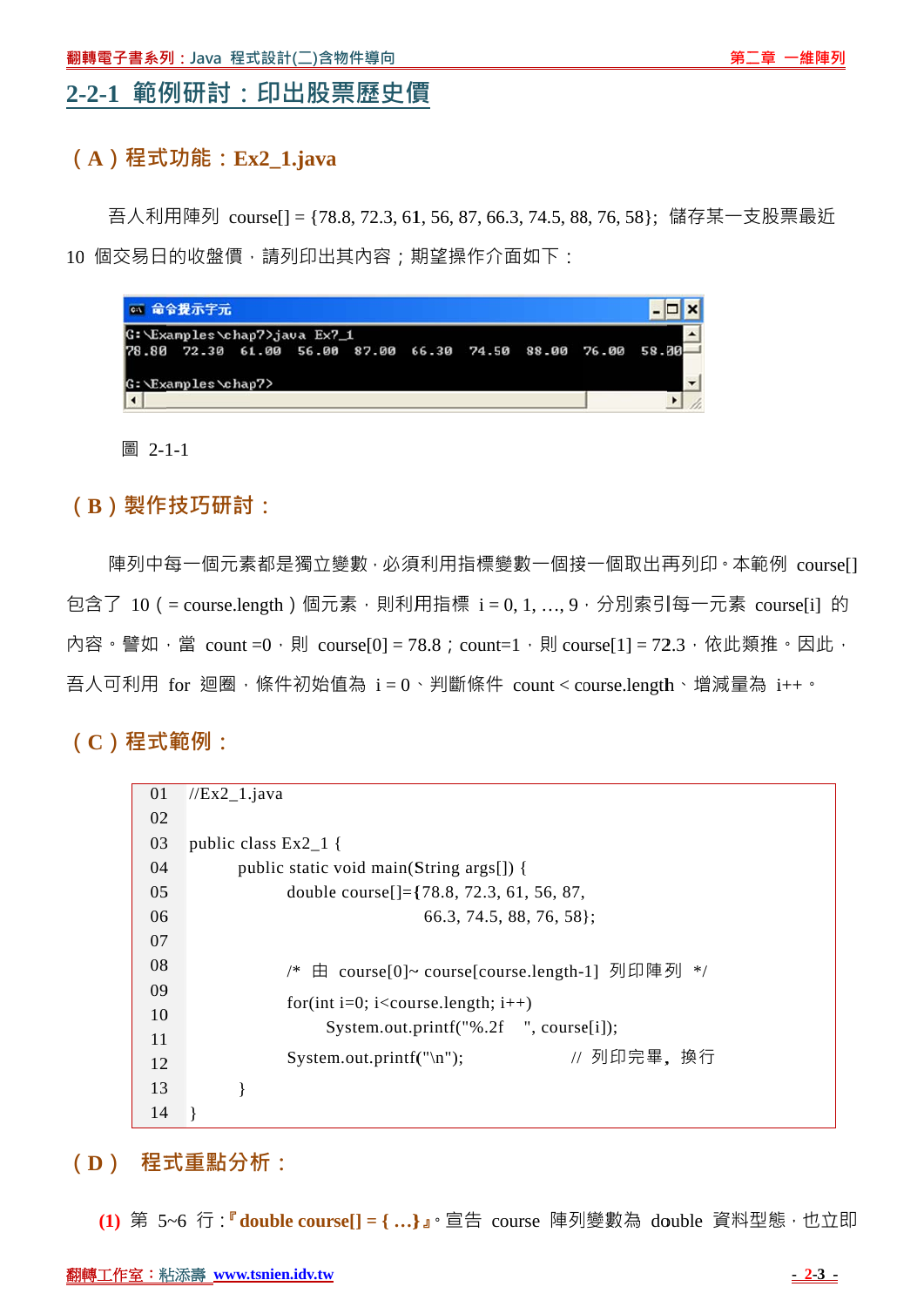## **2- -2-1 範例 例研討: 印出股票 票歷史價 價**

#### **( A)程式 式功能:Ex x2\_1.java a**

10 個交易日的收盤價,請列印出其內容;期望操作介面如下: 吾人利用陣列 course[] = {78.8,72.3,61,56,87,66.3,74.5,88,76,58}; 儲存某一支股票最近

| 67 命令提示字元                                                   |  |  |  |
|-------------------------------------------------------------|--|--|--|
| G: Examples chap7>java Ex7_1                                |  |  |  |
| 78.80 72.30 61.00 56.00 87.00 66.30 74.50 88.00 76.00 58.00 |  |  |  |
| G: \Examples\chap7>                                         |  |  |  |
|                                                             |  |  |  |

圖 2-1-1

#### **( B)製作 技巧研討 討:**

包含了 10(= course.length)個元素,則利用指標 i = 0, 1, ..., 9,分別索引每一元素 course[i] 的 內容。譬如,當 count =0,則 course[0] = 78.8;count=1,則 course[1] = 72.3,依此類推。因此, 吾人可利用 for 迴圈,條件初始值為 i = 0、判斷條件 count<course.length、增減量為 i++。 陣列中每一個元素都是獨立變數 · 必須利用指標變數一個接一個取出再列印 · 本範例 course[]

**( C)程式 式範例:**

| 01 | $//Ex2_1.java$                                                |
|----|---------------------------------------------------------------|
| 02 |                                                               |
| 03 | public class $Ex2_1$ {                                        |
| 04 | public static void main(String args[]) {                      |
| 05 | double course $\left[ \right] = \{ 78.8, 72.3, 61, 56, 87,$   |
| 06 | $66.3, 74.5, 88, 76, 58$ ;                                    |
| 07 |                                                               |
| 08 | /* 由 course[0]~ course[course.length-1] 列印陣列 */               |
| 09 | for(int i=0; i <course.length; <math="">i++)</course.length;> |
| 10 | System.out.printf("%.2f ", course[i]);                        |
| 11 |                                                               |
| 12 | // 列印完畢, 換行<br>System.out.printf("\n");                       |
| 13 |                                                               |
| 14 |                                                               |

**(**  $\mathbf{D}$ ) 程式重點分析:

(1) 第 5~6 行:『 **double course[] = { ...}』**。宣告 course 陣列變數為 double 資料型態,也立即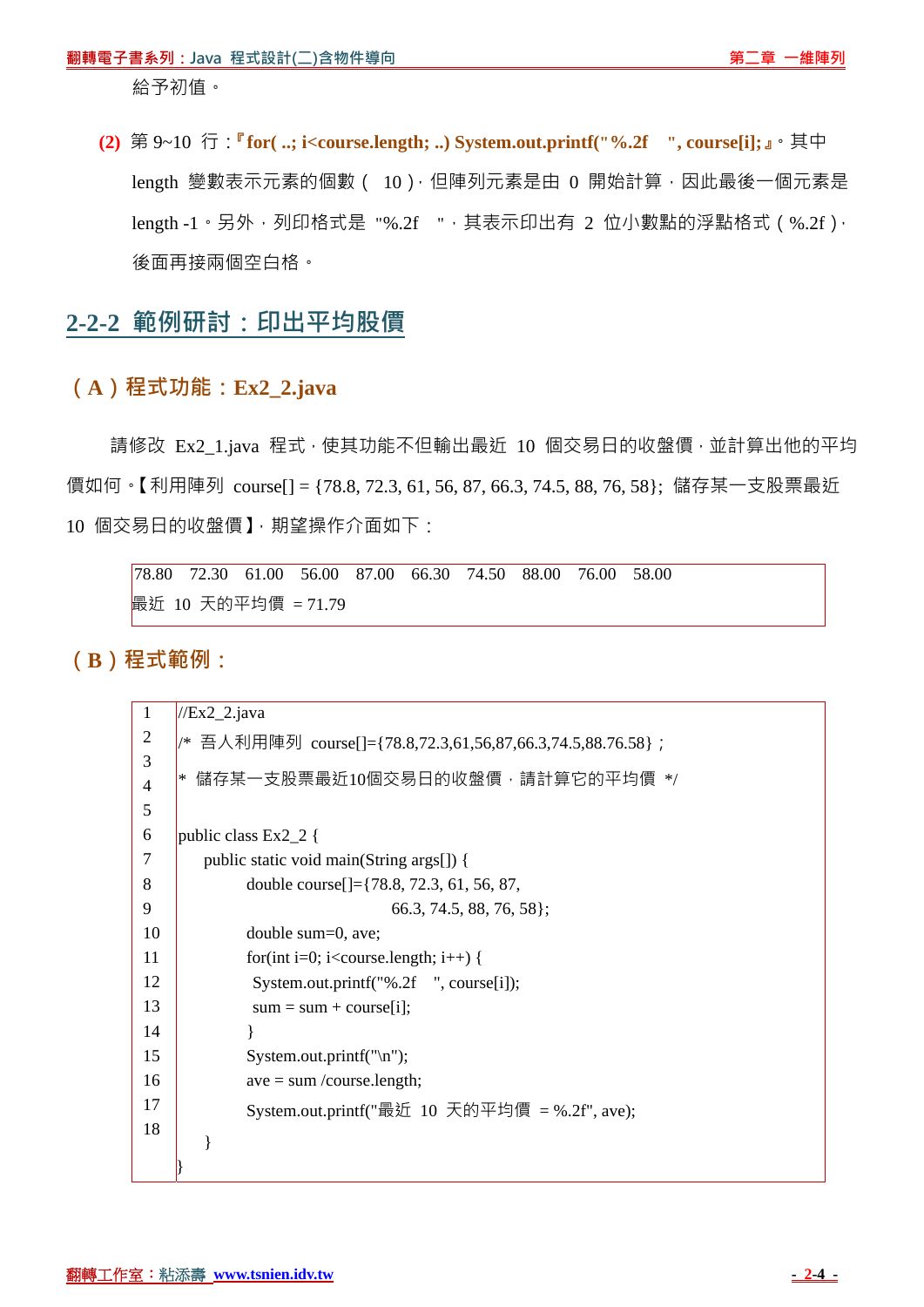給予初值。

**(2)** 第 9~10 行:**『for( ..; i<course.length; ..) System.out.printf("%.2f ", course[i];』**。其中 length 變數表示元素的個數 ( 10), 但陣列元素是由 0 開始計算, 因此最後一個元素是  $length -1 \cdot \frac{1}{2}$ ,  $M \cdot \frac{1}{2}$  (%.2f),  $M \cdot \frac{1}{2}$  (%.2f),  $M \cdot \frac{1}{2}$  (%.2f),  $M \cdot \frac{1}{2}$  (%.2f),  $M \cdot \frac{1}{2}$ 後面再接兩個空白格。

# **2-2-2 範例研討:印出平均股價**

#### **(A)程式功能:Ex2\_2.java**

請修改 Ex2\_1.java 程式, 使其功能不但輸出最近 10 個交易日的收盤價, 並計算出他的平均 價如何。【利用陣列 course[] = {78.8, 72.3, 61, 56, 87, 66.3, 74.5, 88, 76, 58}; 儲存某一支股票最近 10 個交易日的收盤價】,期望操作介面如下:

78.80 72.30 61.00 56.00 87.00 66.30 74.50 88.00 76.00 58.00 最近 10 天的平均價 = 71.79

**(B)程式範例:**

| $\mathbf{1}$   | $\sqrt{Ex2}$ _2.java                                                 |
|----------------|----------------------------------------------------------------------|
| $\overline{2}$ | /* 吾人利用陣列 course[]={78.8,72.3,61,56,87,66.3,74.5,88.76.58} ;         |
| 3              |                                                                      |
| $\overline{4}$ | 儲存某一支股票最近10個交易日的收盤價,請計算它的平均價 */<br>∣∗                                |
| 5              |                                                                      |
| 6              | public class $Ex2_2$ {                                               |
| 7              | public static void main(String args[]) {                             |
| 8              | double course $\left[\right] = \{78.8, 72.3, 61, 56, 87,$            |
| 9              | $66.3, 74.5, 88, 76, 58$ ;                                           |
| 10             | double sum=0, ave;                                                   |
| 11             | for(int i=0; i <course.length; i++)="" td="" {<=""></course.length;> |
| 12             | System.out.printf("%.2f ", course[i]);                               |
| 13             | $sum = sum + course[i];$                                             |
| 14             |                                                                      |
| 15             | System.out.printf("\n");                                             |
| 16             | $ave = sum/course.length;$                                           |
| 17             | System.out.printf("最近 10 天的平均價 = %.2f", ave);                        |
| 18             |                                                                      |
|                |                                                                      |
|                |                                                                      |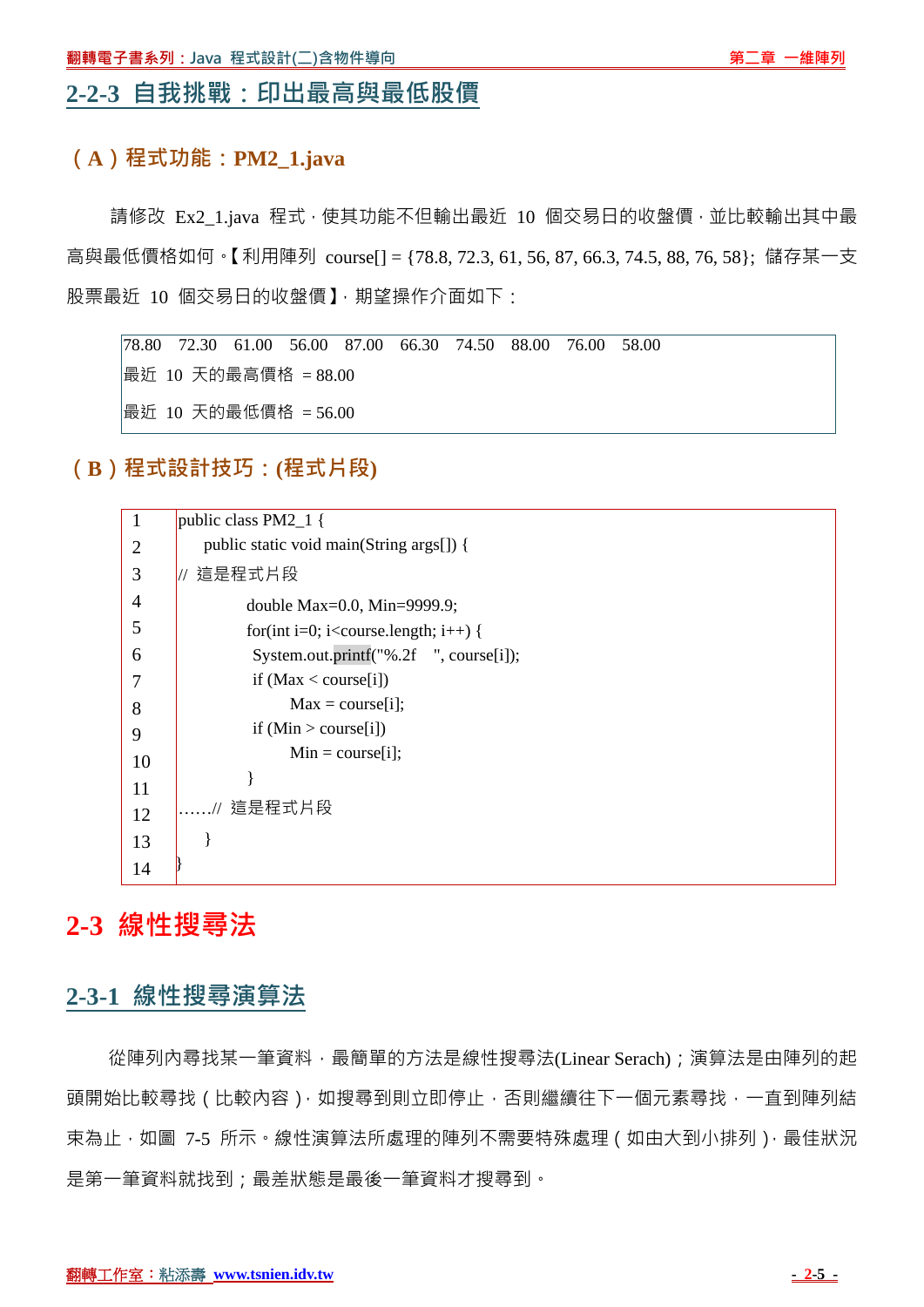#### **2-2-3 自我挑戰:印出最高與最低股價**

#### **(A)程式功能:PM2\_1.java**

請修改 Ex2 1.java 程式,使其功能不但輸出最近 10 個交易日的收盤價,並比較輸出其中最 高與最低價格如何。【利用陣列 course[] = {78.8, 72.3, 61, 56, 87, 66.3, 74.5, 88, 76, 58}; 儲存某一支 股票最近 10 個交易日的收盤價】, 期望操作介面如下:

78.80 72.30 61.00 56.00 87.00 66.30 74.50 88.00 76.00 58.00 最近 10 天的最高價格 = 88.00 最近 10 天的最低價格 = 56.00

**(B)程式設計技巧:(程式片段)** 



# **2-3 線性搜尋法**

## **2-3-1 線性搜尋演算法**

從陣列內尋找某一筆資料,最簡單的方法是線性搜尋法(Linear Serach);演算法是由陣列的起 頭開始比較尋找 ( 比較內容 ), 如搜尋到則立即停止, 否則繼續往下一個元素尋找, 一直到陣列結 束為止,如圖 7-5 所示。線性演算法所處理的陣列不需要特殊處理(如由大到小排列),最佳狀況 是第一筆資料就找到;最差狀態是最後一筆資料才搜尋到。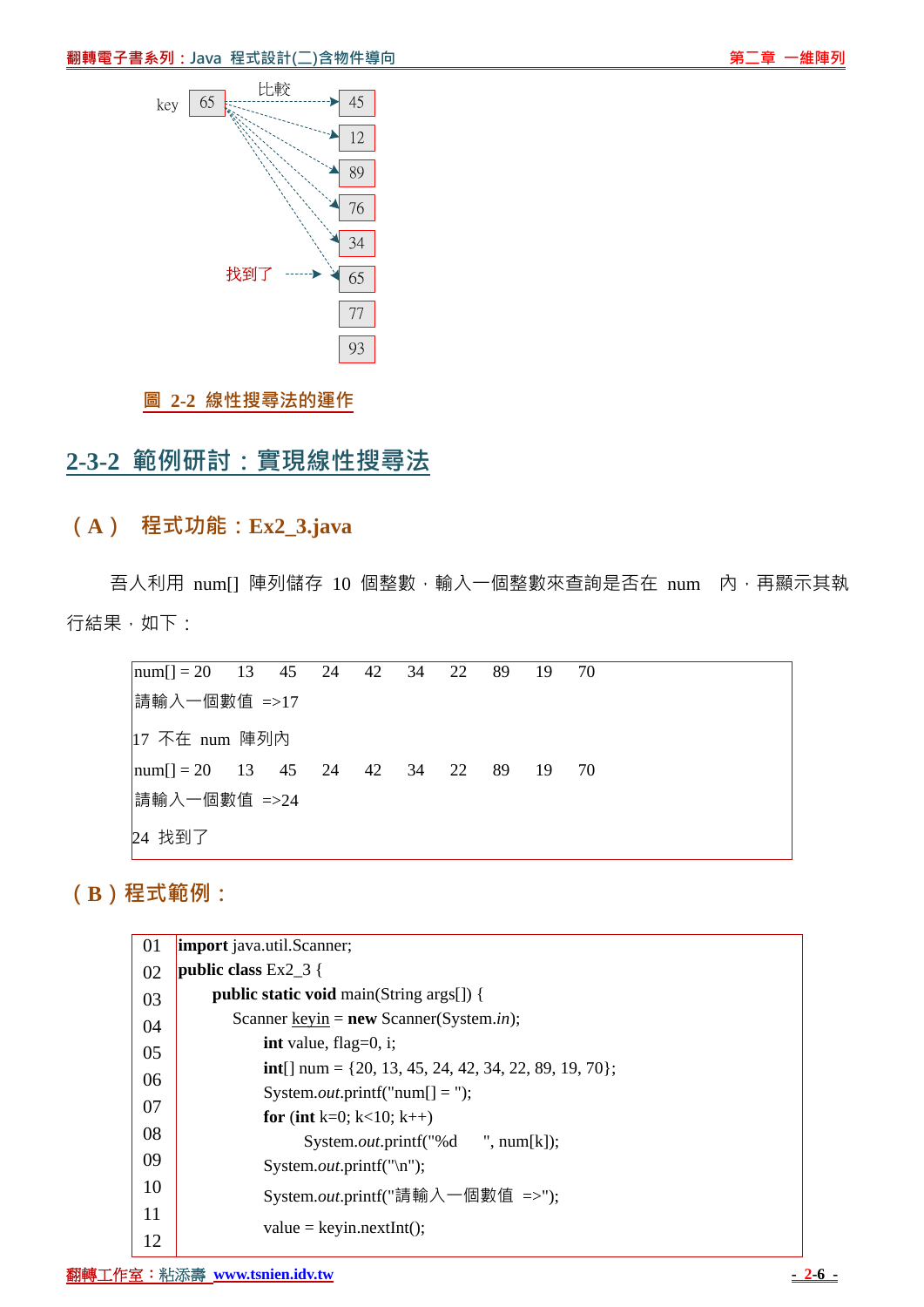

#### **圖 2-2 線性搜尋法的運作**

# **2-3-2 範例研討:實現線性搜尋法**

#### **(A) 程式功能:Ex2\_3.java**

吾人利用 num[] 陣列儲存 10 個整數, 輸入一個整數來查詢是否在 num 內, 再顯示其執 行結果,如下:

 $\text{num}[l] = 20$  13 45 24 42 34 22 89 19 70 請輸入一個數值 =>17 17 不在 num 陣列內  $\text{num}$ [] = 20 13 45 24 42 34 22 89 19 70 請輸入一個數值 =>24 24 找到了

# **(B)程式範例:**

| 01 | <b>import</b> java.util.Scanner;                              |
|----|---------------------------------------------------------------|
| 02 | public class $Ex2_3$ {                                        |
| 03 | <b>public static void</b> main(String args[]) {               |
| 04 | Scanner <u>keyin</u> = <b>new</b> Scanner(System.in);         |
| 05 | int value, flag= $0$ , i;                                     |
| 06 | <b>int</b> [] num = {20, 13, 45, 24, 42, 34, 22, 89, 19, 70}; |
|    | System. <i>out</i> .printf("num[] = ");                       |
| 07 | for (int k=0; k<10; k++)                                      |
| 08 | System. <i>out</i> .printf("%d ", num[k]);                    |
| 09 | System. <i>out</i> .printf("\n");                             |
| 10 | System.out.printf("請輸入一個數值 =>");                              |
| 11 | $value = keyin.nextInt();$                                    |
| 12 |                                                               |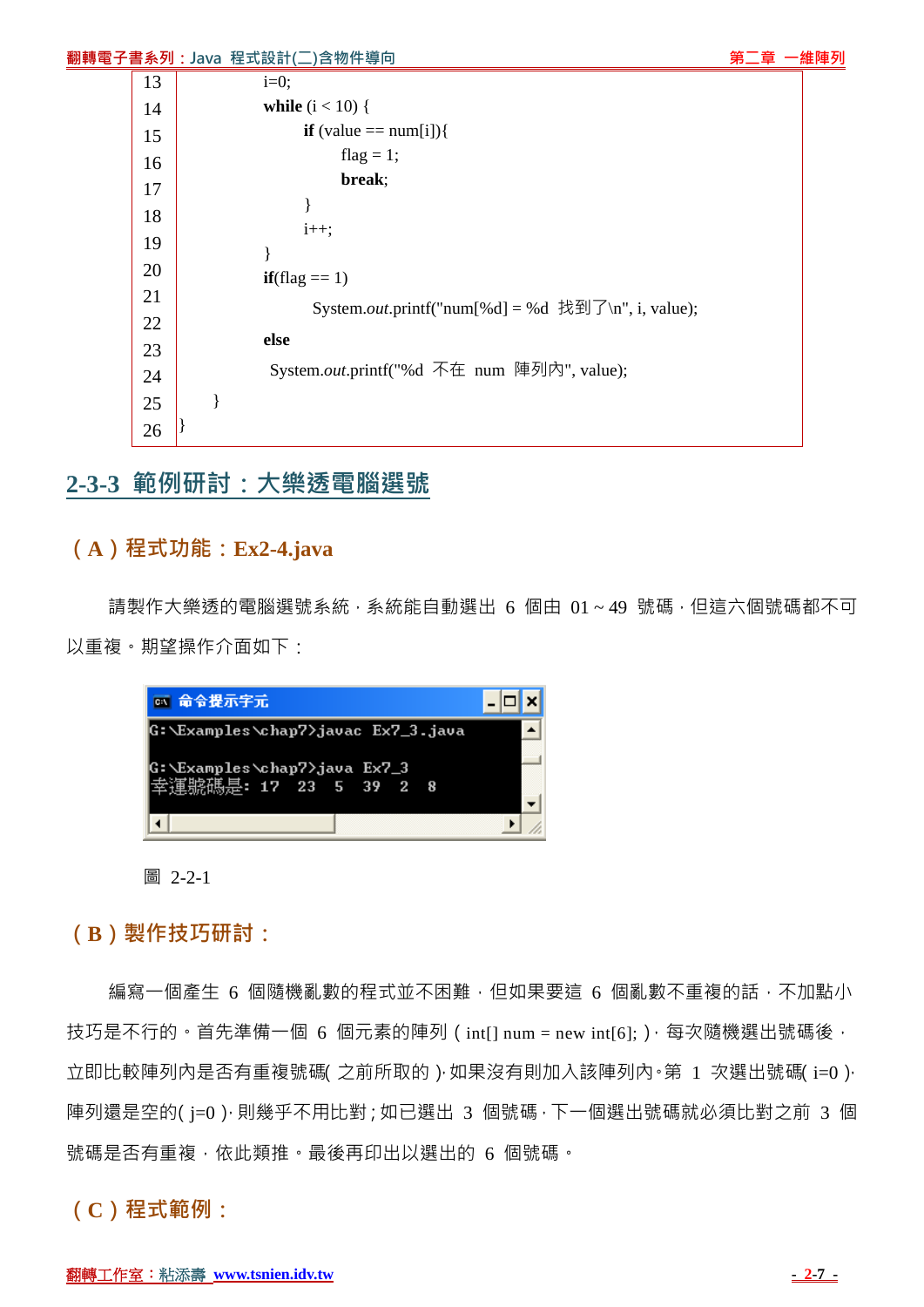|    | 翻轉電子書系列:Java 程式設計(二)含物件導向                          |  | 第二章 一維陣列 |
|----|----------------------------------------------------|--|----------|
| 13 | $i=0;$                                             |  |          |
| 14 | <b>while</b> $(i < 10)$ {                          |  |          |
| 15 | <b>if</b> (value == $num[i]$ ){                    |  |          |
| 16 | flag = 1;                                          |  |          |
| 17 | break;                                             |  |          |
| 18 |                                                    |  |          |
| 19 | $i++;$                                             |  |          |
| 20 | $if(flag == 1)$                                    |  |          |
| 21 | System.out.printf("num[%d] = %d 找到了\n", i, value); |  |          |
| 22 |                                                    |  |          |
| 23 | else                                               |  |          |
| 24 | System.out.printf("%d 不在 num 陣列內", value);         |  |          |
| 25 |                                                    |  |          |
| 26 |                                                    |  |          |
|    |                                                    |  |          |

## **2-3-3 範例研討:大樂透電腦選號**

## **(A)程式功能:Ex2-4.java**

請製作大樂透的電腦選號系統,系統能自動選出 6 個由 01~49 號碼,但這六個號碼都不可 以重複。期望操作介面如下:



圖 2-2-1

## **(B)製作技巧研討:**

編寫一個產生 6 個隨機亂數的程式並不困難,但如果要這 6 個亂數不重複的話,不加點小 技巧是不行的。首先準備一個 6 個元素的陣列 ( int[] num = new int[6]; ),每次隨機選出號碼後, 立即比較陣列內是否有重複號碼 之前所取的 ), 如果沒有則加入該陣列內。第 1 次選出號碼 i=0 ), 陣列還是空的(j=0),則幾乎不用比對;如已選出 3 個號碼,下一個選出號碼就必須比對之前 3 個 號碼是否有重複,依此類推。最後再印出以選出的 6 個號碼。

**(C)程式範例:**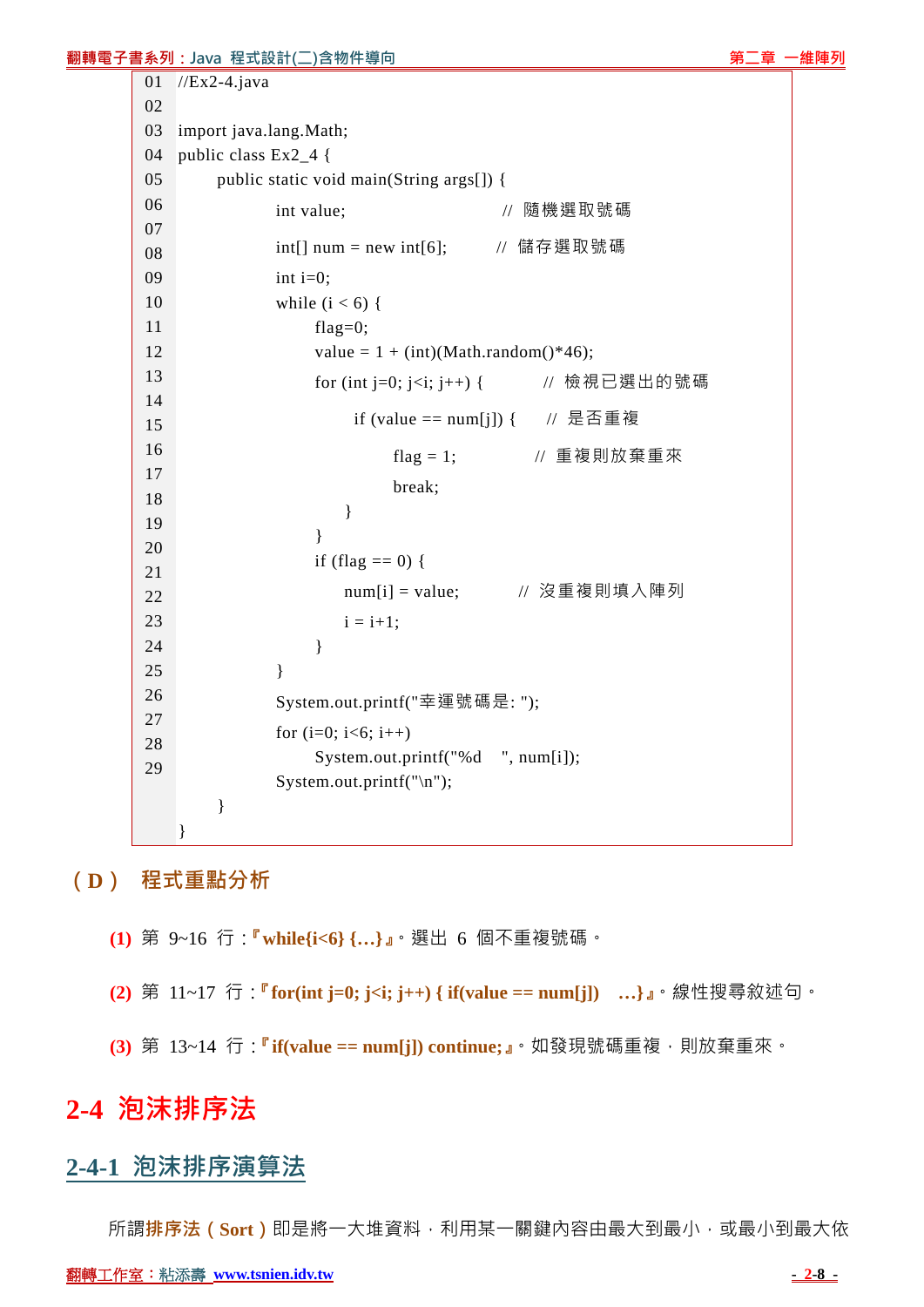#### **翻轉電子書系列:Java 程式設計(二)含物件導向 『『『『『『』』『『『』』『『』』『第二章 一維陣列**

```
01 
02 
03 
04 
05 
06 
07 
08 
09 
10 
11 
12 
13 
14 
15 
16 
17 
18 
19 
20 
21 
22 
23 
24 
25 
26 
27 
28 
29 
   //Ex2-4.java 
   import java.lang.Math; 
   public class Ex2_4 { 
         public static void main(String args[]) { 
               int value; http:// 隨機選取號碼
               int[] num = new int[6]; \qquad // 儲存選取號碼
               int i=0;
               while (i < 6) {
                    flag=0; 
                   value = 1 + (int)(Math.random() * 46); for (int j=0; j<i; j++) { // 檢視已選出的號碼
                        if (value == num[j]) { // 是否重複
                             flag = 1; \frac{1}{2} // 重複則放棄重來
                              break; 
     } 
     } 
                   if (flag == 0) {
                       num[i] = value; // 沒重複則填入陣列
                       i = i+1:
     } 
     } 
                System.out.printf("幸運號碼是: "); 
               for (i=0; i<6; i++) System.out.printf("%d ", num[i]); 
                System.out.printf("\n"); 
         } 
    }
```
## **(D) 程式重點分析**

- **(1)** 第 9~16 行:**『while{i<6} {…}』**。選出 6 個不重複號碼。
- **(2)** 第 11~17 行:**『for(int j=0; j<i; j++) { if(value == num[j]) …}』**。線性搜尋敘述句。
- **(3)** 第 13~14 行:**『if(value == num[j]) continue;』**。如發現號碼重複,則放棄重來。

# **2-4 泡沫排序法**

## **2-4-1 泡沫排序演算法**

所謂**排序法(Sort)**即是將一大堆資料,利用某一關鍵內容由最大到最小,或最小到最大依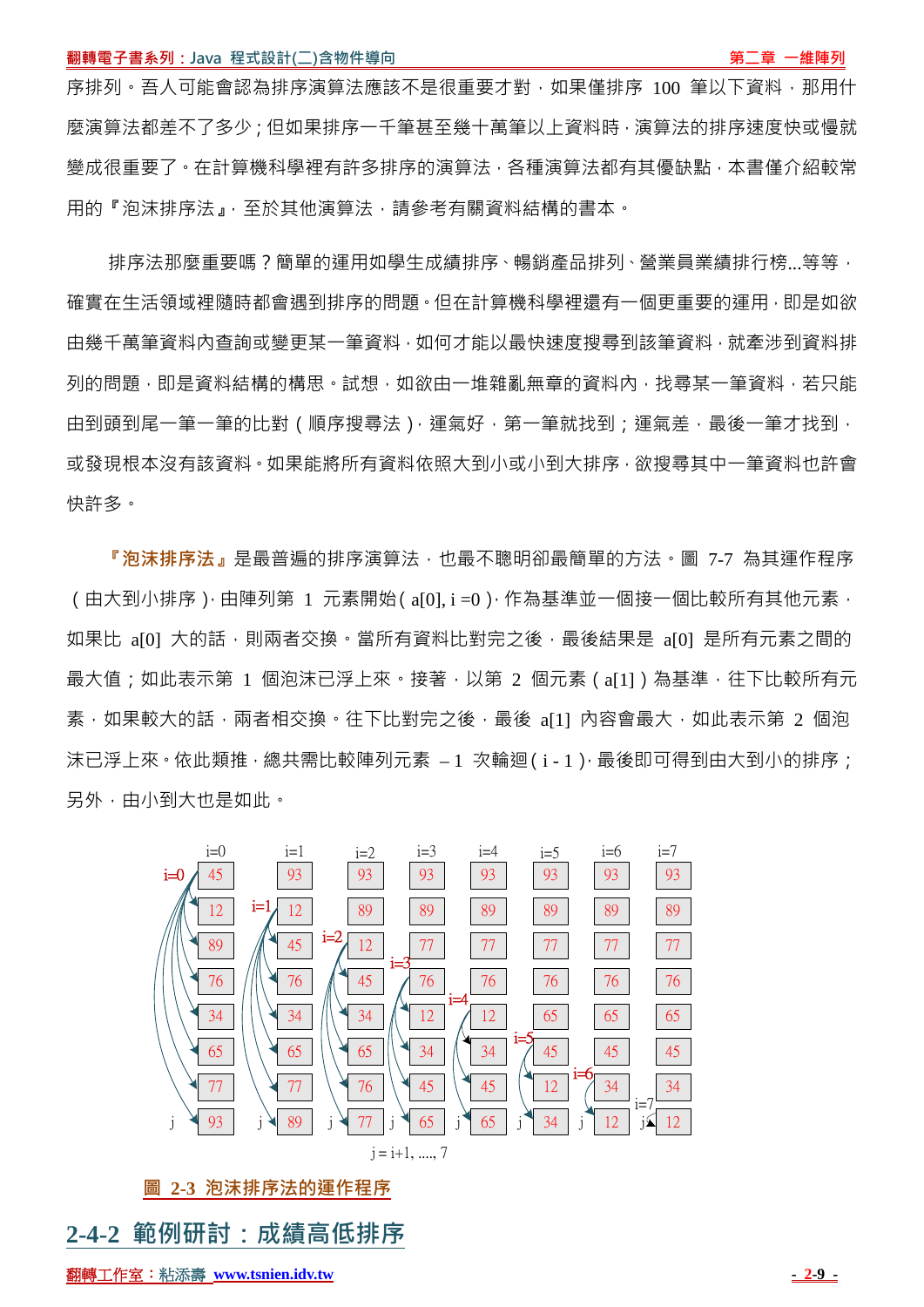序排列。吾人可能會認為排序演算法應該不是很重要才對,如果僅排序 100 筆以下資料,那用什 麼演算法都差不了多少;但如果排序一千筆甚至幾十萬筆以上資料時,演算法的排序速度快或慢就 變成很重要了。在計算機科學裡有許多排序的演算法,各種演算法都有其優缺點,本書僅介紹較常 用的『泡沫排序法』,至於其他演算法,請參考有關資料結構的書本。

排序法那麼重要嗎?簡單的運用如學生成績排序、暢銷產品排列、營業員業績排行榜...等等, 確實在生活領域裡隨時都會遇到排序的問題。但在計算機科學裡還有一個更重要的運用,即是如欲 由幾千萬筆資料內查詢或變更某一筆資料,如何才能以最快速度搜尋到該筆資料,就牽涉到資料排 列的問題,即是資料結構的構思。試想,如欲由一堆雜亂無章的資料內,找尋某一筆資料,若只能 由到頭到尾一筆一筆的比對 (順序搜尋法), 運氣好, 第一筆就找到; 運氣差, 最後一筆才找到, 或發現根本沒有該資料。如果能將所有資料依照大到小或小到大排序,欲搜尋其中一筆資料也許會 快許多。

**『泡沫排序法』**是最普遍的排序演算法,也最不聰明卻最簡單的方法。圖 7-7 為其運作程序 (由大到小排序),由陣列第 1 元素開始(a[0],i=0),作為基準並一個接一個比較所有其他元素, 如果比 a[0] 大的話,則兩者交換。當所有資料比對完之後,最後結果是 a[0] 是所有元素之間的 最大值;如此表示第 1 個泡沫已浮上來。接著,以第 2 個元素(a[1])為基準,往下比較所有元 素, 如果較大的話, 兩者相交換。往下比對完之後, 最後 a[1] 內容會最大, 如此表示第 2 個泡 沫已浮上來。依此類推,總共需比較陣列元素 – 1 次輪迴(i-1), 最後即可得到由大到小的排序; 另外,由小到大也是如此。



**圖 2-3 泡沫排序法的運作程序**

## **2-4-2 範例研討:成績高低排序**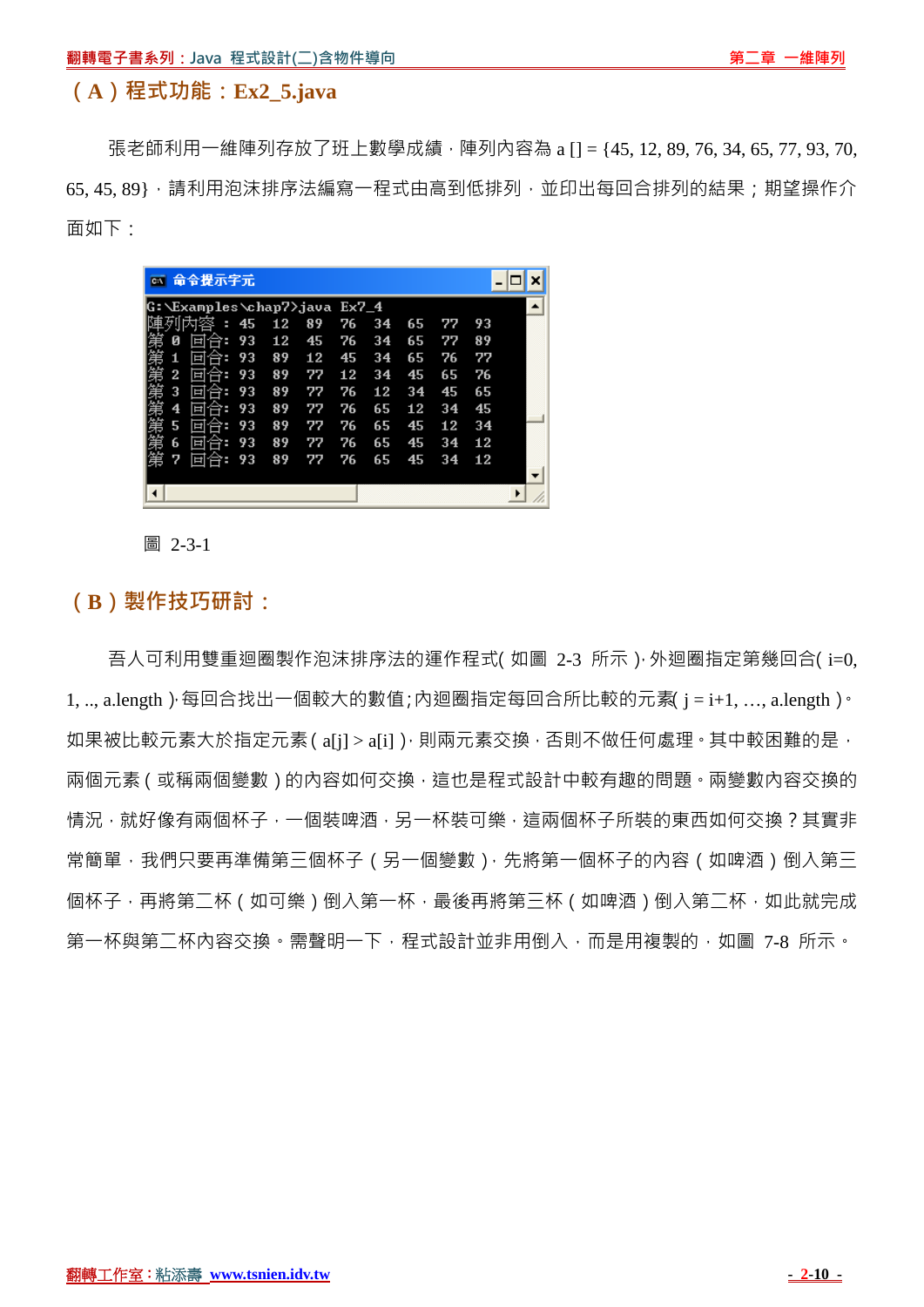#### **(A)程式功能:Ex2\_5.java**

張老師利用一維陣列存放了班上數學成績,陣列內容為 a [] = {45, 12, 89, 76, 34, 65, 77, 93, 70, 65, 45, 89}, 请利用泡沫排序法編寫一程式由高到低排列, 並印出每回合排列的結果; 期望操作介 面如下:



圖 2-3-1

#### **(B)製作技巧研討:**

吾人可利用雙重迴圈製作泡沫排序法的運作程式(如圖 2-3 所示 ) 外迴圈指定第幾回合(i=0, 1, .., a.length )·每回合找出一個較大的數值;內迴圈指定每回合所比較的元素 j = i+1, ..., a.length ) · 如果被比較元素大於指定元素( a[j] > a[i] ), 則兩元素交換 , 否則不做任何處理 , 其中較困難的是 , 兩個元素(或稱兩個變數)的內容如何交換,這也是程式設計中較有趣的問題。兩變數內容交換的 情況,就好像有兩個杯子,一個裝啤酒,另一杯裝可樂,這兩個杯子所裝的東西如何交換?其實非 常簡單,我們只要再準備第三個杯子(另一個變數),先將第一個杯子的內容(如啤酒)倒入第三 個杯子,再將第二杯(如可樂)倒入第一杯,最後再將第三杯(如啤酒)倒入第二杯,如此就完成 第一杯與第二杯內容交換。需聲明一下,程式設計並非用倒入,而是用複製的,如圖 7-8 所示。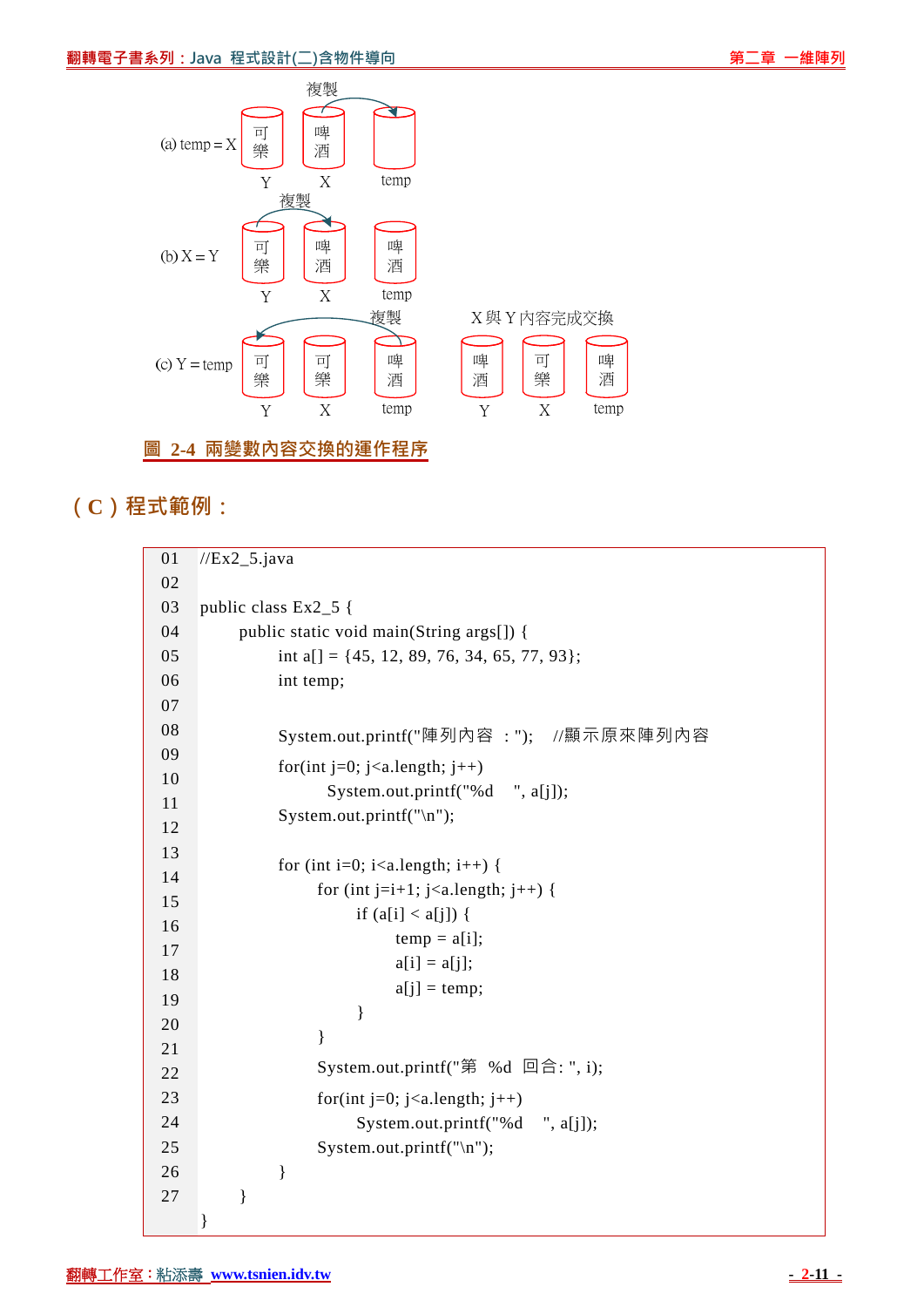

# **(C)程式範例:**

| 01 | $//Ex2_5.java$                                                |
|----|---------------------------------------------------------------|
| 02 |                                                               |
| 03 | public class Ex2_5 {                                          |
| 04 | public static void main(String args[]) {                      |
| 05 | int a[] = {45, 12, 89, 76, 34, 65, 77, 93};                   |
| 06 | int temp;                                                     |
| 07 |                                                               |
| 08 | System.out.printf("陣列內容:"); //顯示原來陣列內容                        |
| 09 |                                                               |
| 10 | for(int j=0; j <a.length; j++)<="" td=""></a.length;>         |
| 11 | System.out.printf("%d ", a[j]);                               |
| 12 | System.out.printf("\n");                                      |
| 13 |                                                               |
| 14 | for (int i=0; i <a.length; i++)="" td="" {<=""></a.length;>   |
| 15 | for (int j=i+1; j <a.length; j++)="" td="" {<=""></a.length;> |
| 16 | if $(a[i] < a[j])$ {                                          |
| 17 | $temp = a[i];$                                                |
| 18 | $a[i] = a[j];$                                                |
| 19 | $a[i] = temp;$                                                |
| 20 | $\}$                                                          |
| 21 | $\}$                                                          |
| 22 | System.out.printf("第 %d 回合: ", i);                            |
| 23 | for(int j=0; j <a.length; j++)<="" td=""></a.length;>         |
| 24 | System.out.printf("%d ", a[j]);                               |
| 25 | System.out.printf("\n");                                      |
| 26 | }                                                             |
| 27 | $\}$                                                          |
|    | }                                                             |
|    |                                                               |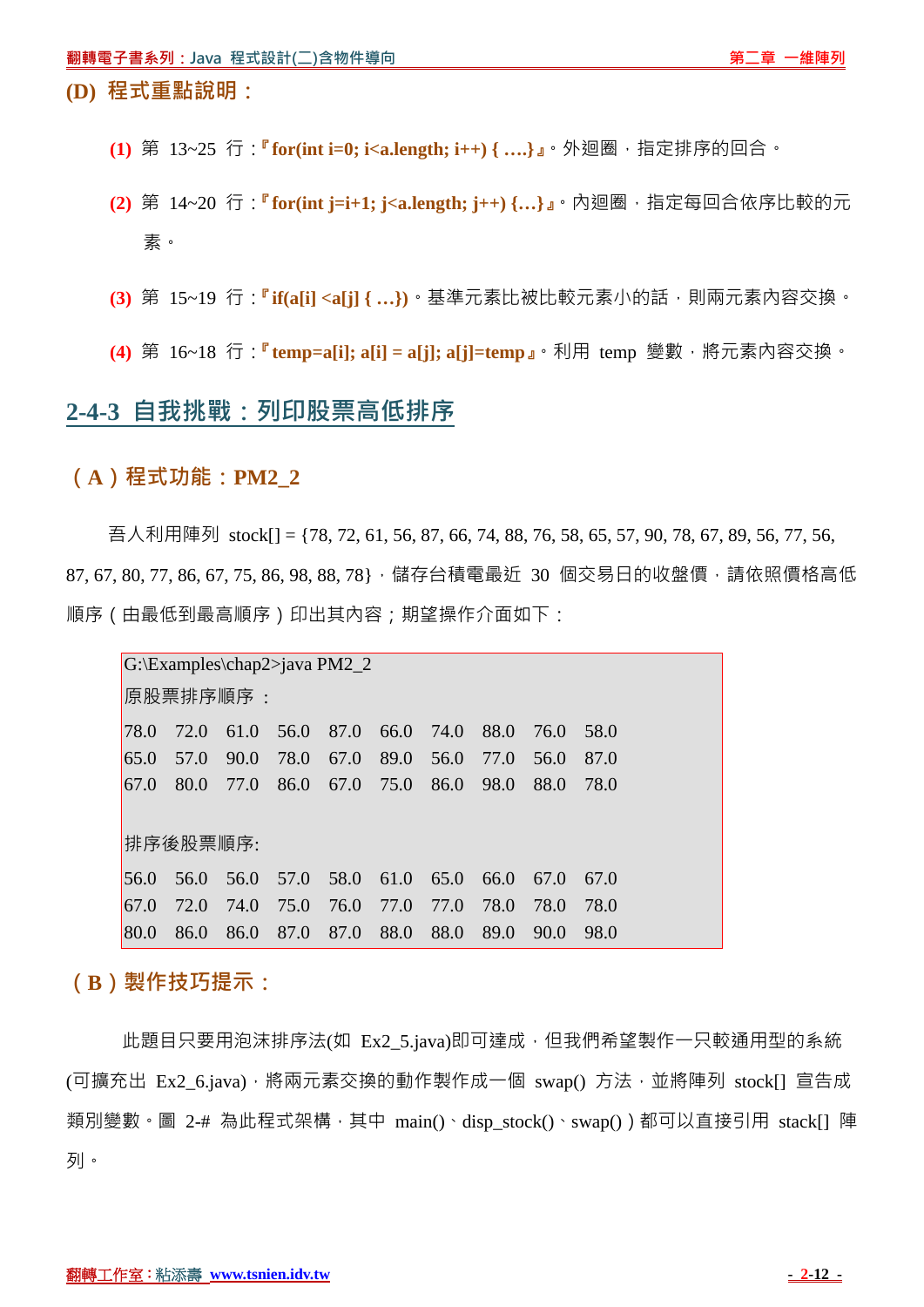#### **(D) 程式重點說明:**

- **(1)** 第 13~25 行:**『for(int i=0; i<a.length; i++) { ….}』**。外迴圈,指定排序的回合。
- **(2)** 第 14~20 行:**『for(int j=i+1; j<a.length; j++) {…}』**。內迴圈,指定每回合依序比較的元 素。
- **(3)** 第 15~19 行:**『if(a[i] <a[j] { …})**。基準元素比被比較元素小的話,則兩元素內容交換。
- **(4)** 第 16~18 行:**『temp=a[i]; a[i] = a[j]; a[j]=temp』**。利用 temp 變數,將元素內容交換。

# **2-4-3 自我挑戰:列印股票高低排序**

#### **(A)程式功能:PM2\_2**

吾人利用陣列 stock[] = {78, 72, 61, 56, 87, 66, 74, 88, 76, 58, 65, 57, 90, 78, 67, 89, 56, 77, 56, 87,67,80,77,86,67,75,86,98,88,78},儲存台積電最近 30 個交易日的收盤價,請依照價格高低 順序(由最低到最高順序)印出其內容;期望操作介面如下:

| $G:\Examples\chap2>java PM2_2$ |      |      |      |      |      |      |      |      |      |  |
|--------------------------------|------|------|------|------|------|------|------|------|------|--|
| 原股票排序順序:                       |      |      |      |      |      |      |      |      |      |  |
| 78.0                           | 72.0 | 61.0 | 56.0 | 87.0 | 66.0 | 74.0 | 88.0 | 76.0 | 58.0 |  |
| 65.0                           | 57.0 | 90.0 | 78.0 | 67.0 | 89.0 | 56.0 | 77.0 | 56.0 | 87.0 |  |
| <b>67.0</b>                    | 80.0 | 77.0 | 86.0 | 67.0 | 75.0 | 86.0 | 98.0 | 88.0 | 78.0 |  |
|                                |      |      |      |      |      |      |      |      |      |  |
| 排序後股票順序:                       |      |      |      |      |      |      |      |      |      |  |
| 56.0                           | 56.0 | 56.0 | 57.0 | 58.0 | 61.0 | 65.0 | 66.0 | 67.0 | 67.0 |  |
| 67.0                           | 72.0 | 74.0 | 75.0 | 76.0 | 77.0 | 77.0 | 78.0 | 78.0 | 78.0 |  |
| 80.0                           | 86.0 | 86.0 | 87.0 | 87.0 | 88.0 | 88.0 | 89.0 | 90.0 | 98.0 |  |

**(B)製作技巧提示:**

此題目只要用泡沫排序法(如 Ex2\_5.java)即可達成, 但我們希望製作一只較通用型的系統 (可擴充出 Ex2 6.java),將兩元素交換的動作製作成一個 swap() 方法,並將陣列 stock[] 宣告成 類別變數。圖 2-# 為此程式架構,其中 main()、disp\_stock()、swap())都可以直接引用 stack[] 陣 列。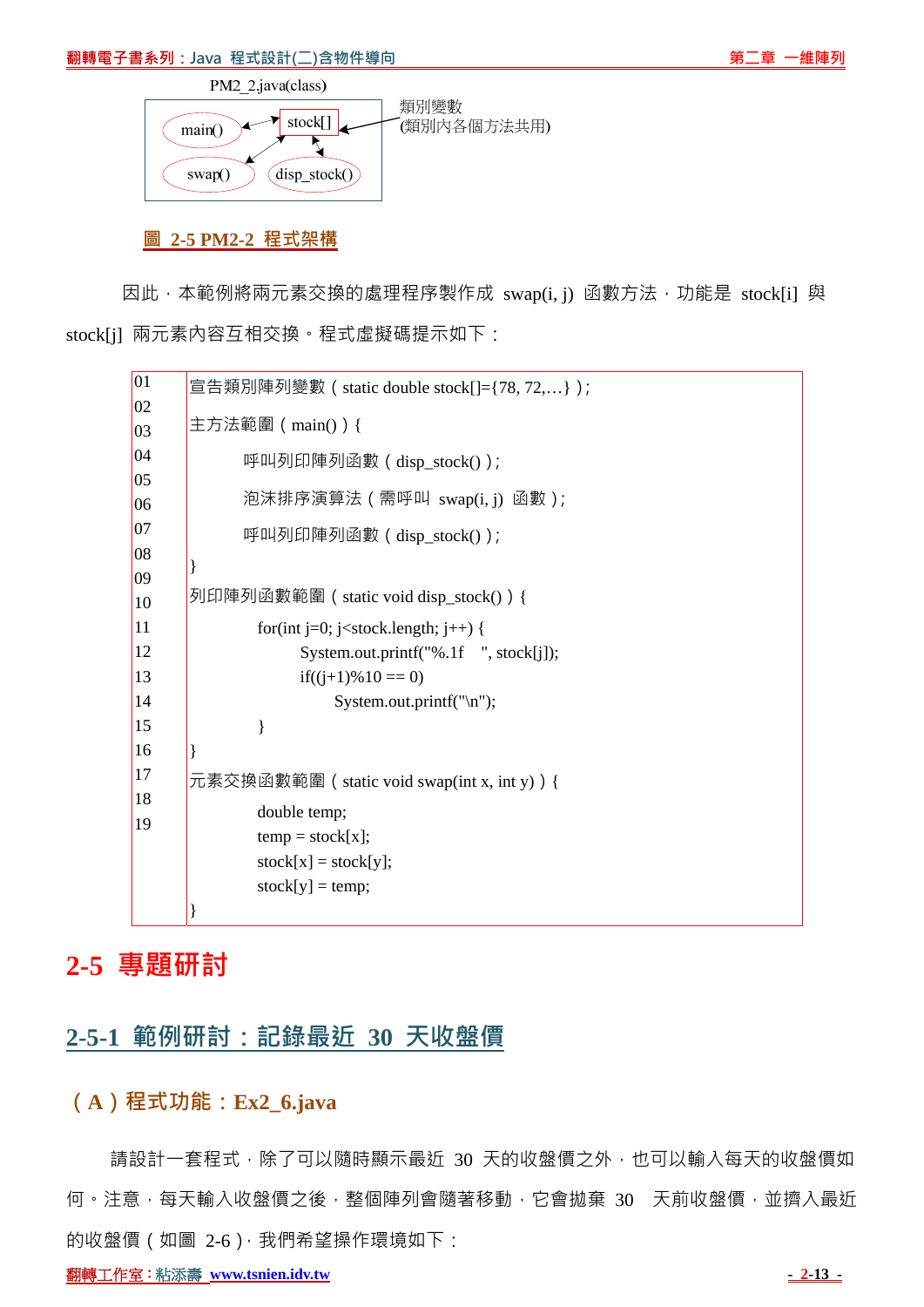#### **翻轉電子書系列:Java 程式設計(二)含物件導向 第二章 一維陣列**



#### **圖 2-5 PM2-2 程式架構**

因此,本範例將兩元素交換的處理程序製作成 swap(i, j) 函數方法, 功能是 stock[i] 與 stock[j] 兩元素內容互相交換。程式虛擬碼提示如下:



## **2-5 專題研討**

# **2-5-1 範例研討:記錄最近 30 天收盤價**

## **(A)程式功能:Ex2\_6.java**

請設計一套程式,除了可以隨時顯示最近 30 天的收盤價之外,也可以輸入每天的收盤價如 何。注意,每天輸入收盤價之後,整個陣列會隨著移動,它會拋棄 30 天前收盤價,並擠入最近 的收盤價(如圖 2-6),我們希望操作環境如下:

**翻轉工作室:粘添壽 www.tsnien.idv.tw - 2-13 - 2-13 - 2-13 - 2-13 - 2-13 - 2-13 - 2-13 - 2-13 - 2-13 - 2-13 - 2-13 - 2-13 - 2-13 - 2-13 - 2-13 - 2-13 - 2-13 - 2-13 - 2-13 - 2-13 - 2-13 - 2-13 - 2-13 - 2-13 - 2-13 - 2-13 - 2-13 - 2**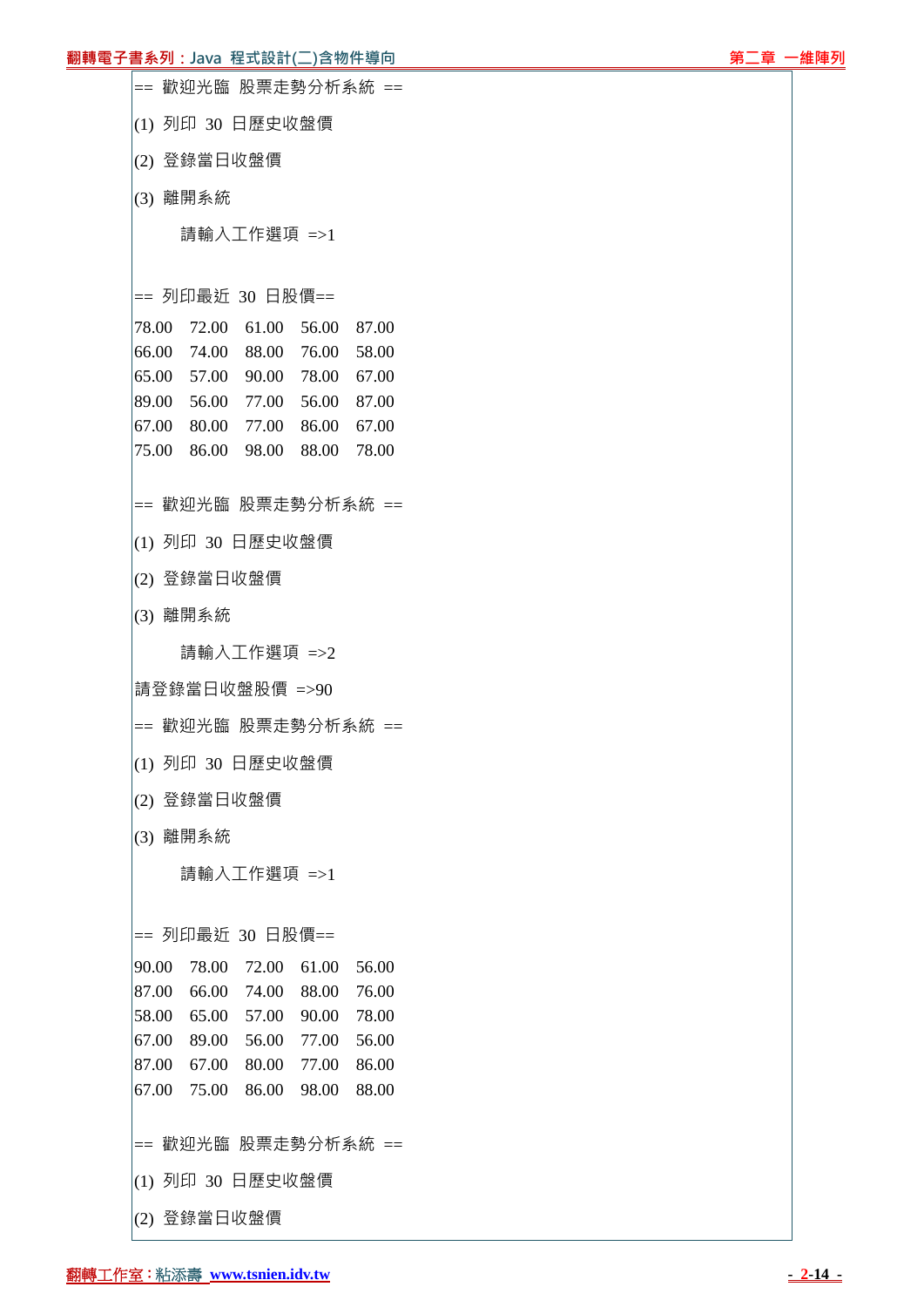#### **翻轉電子書系列:Java** 程式設計(二)含物件導向 第2000年 第2000年 第2000年 第2000年 第2000年 第2000年 第2000年 第2000

== 歡迎光臨 股票走勢分析系統 == (1) 列印 30 日歷史收盤價 (2) 登錄當日收盤價 (3) 離開系統 請輸入工作選項 =>1 == 列印最近 30 日股價== 78.00 72.00 61.00 56.00 87.00 66.00 74.00 88.00 76.00 58.00 65.00 57.00 90.00 78.00 67.00 89.00 56.00 77.00 56.00 87.00 67.00 80.00 77.00 86.00 67.00 75.00 86.00 98.00 88.00 78.00 == 歡迎光臨 股票走勢分析系統 == (1) 列印 30 日歷史收盤價 (2) 登錄當日收盤價 (3) 離開系統 請輸入工作選項 =>2 請登錄當日收盤股價 =>90 == 歡迎光臨 股票走勢分析系統 == (1) 列印 30 日歷史收盤價 (2) 登錄當日收盤價 (3) 離開系統 請輸入工作選項 =>1 == 列印最近 30 日股價== 90.00 78.00 72.00 61.00 56.00 87.00 66.00 74.00 88.00 76.00 58.00 65.00 57.00 90.00 78.00 67.00 89.00 56.00 77.00 56.00 87.00 67.00 80.00 77.00 86.00 67.00 75.00 86.00 98.00 88.00 == 歡迎光臨 股票走勢分析系統 == (1) 列印 30 日歷史收盤價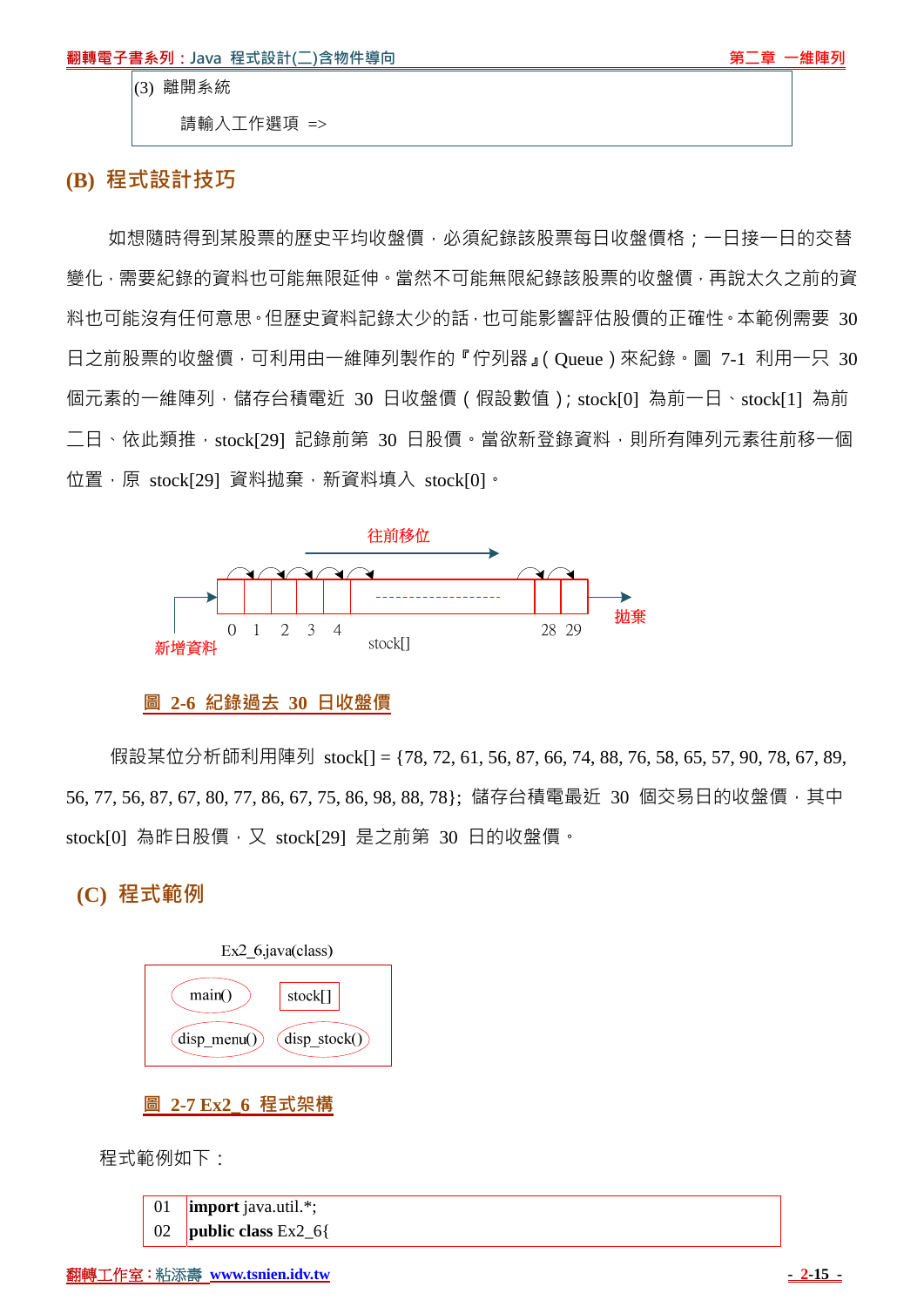(3) 離開系統

請輸入工作選項 =>

#### **(B) 程式設計技巧**

如想隨時得到某股票的歷史平均收盤價,必須紀錄該股票每日收盤價格;一日接一日的交替 變化,需要紀錄的資料也可能無限延伸。當然不可能無限紀錄該股票的收盤價,再說太久之前的資 料也可能沒有任何意思。但歷史資料記錄太少的話,也可能影響評估股價的正確性。本範例需要 30 日之前股票的收盤價,可利用由一維陣列製作的『佇列器』(Queue)來紀錄。圖 7-1 利用一只 30 個元素的一維陣列,儲存台積電近 30 日收盤價(假設數值);stock[0] 為前一日、stock[1] 為前 二日、依此類推, stock[29] 記錄前第 30 日股價。當欲新登錄資料,則所有陣列元素往前移一個 位置,原 stock[29] 資料拋棄, 新資料填入 stock[0]。



#### **圖 2-6 紀錄過去 30 日收盤價**

假設某位分析師利用陣列 stock[] = {78, 72, 61, 56, 87, 66, 74, 88, 76, 58, 65, 57, 90, 78, 67, 89, 56, 77, 56, 87, 67, 80, 77, 86, 67, 75, 86, 98, 88, 78}; 儲存台積電最近 30 個交易日的收盤價, 其中 stock[0] 為昨日股價, 又 stock[29] 是之前第 30 日的收盤價。

 **(C) 程式範例**



**圖 2-7 Ex2\_6 程式架構**

程式範例如下:

| $\overline{01}$ | $\lim$ port java.util.*;    |
|-----------------|-----------------------------|
| 02              | <b>public class</b> $Ex2_6$ |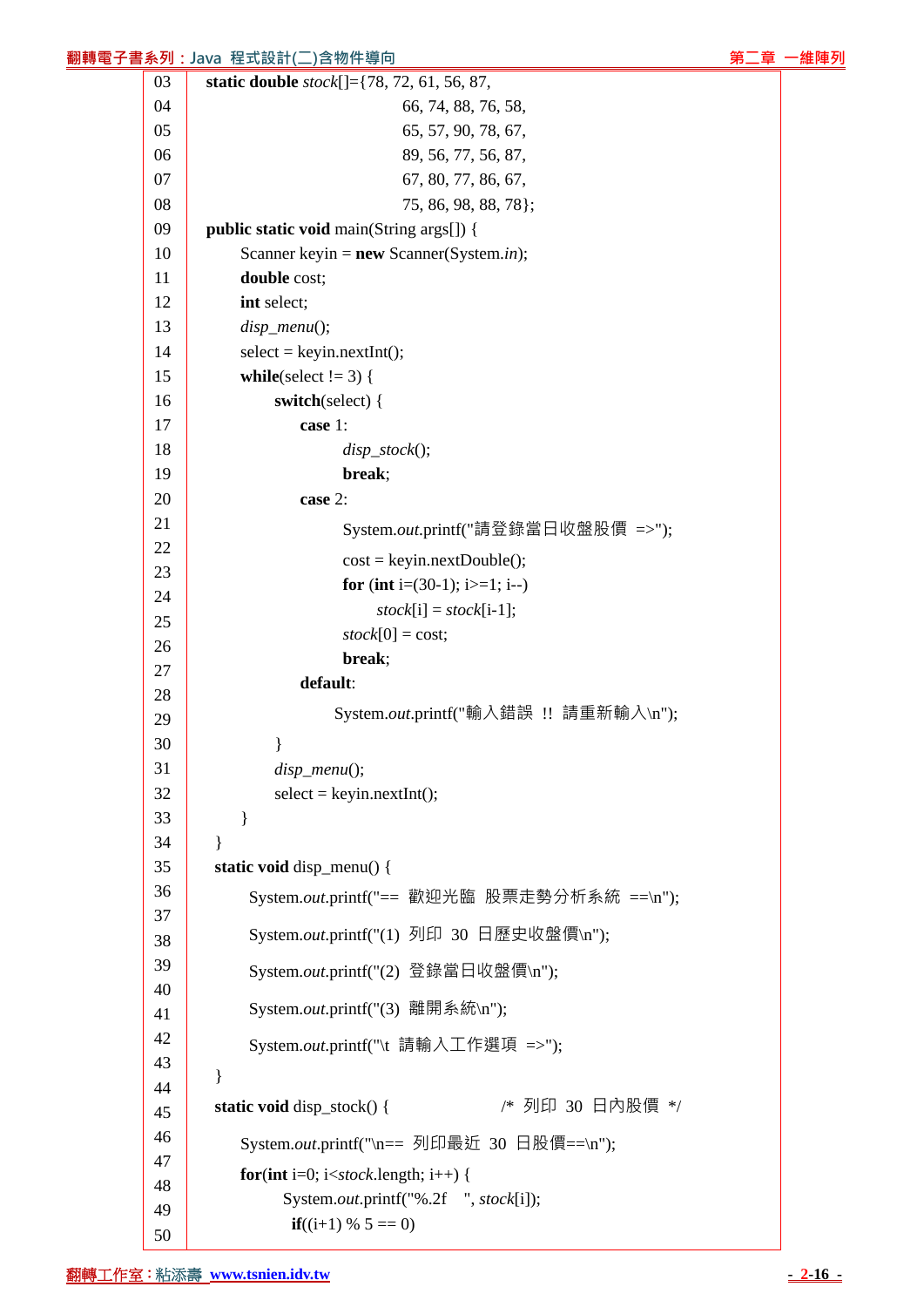| <mark>翻轉電子書系列:Java</mark> 程式設計(二)含物件導向<br>第二章 |          |                                                                                      |  |  |  |
|-----------------------------------------------|----------|--------------------------------------------------------------------------------------|--|--|--|
|                                               | 03       | static double stock[]={78, 72, 61, 56, 87,                                           |  |  |  |
|                                               | 04       | 66, 74, 88, 76, 58,                                                                  |  |  |  |
|                                               | 05       | 65, 57, 90, 78, 67,                                                                  |  |  |  |
|                                               | 06       | 89, 56, 77, 56, 87,                                                                  |  |  |  |
|                                               | 07       | 67, 80, 77, 86, 67,                                                                  |  |  |  |
|                                               | 08       | 75, 86, 98, 88, 78};                                                                 |  |  |  |
|                                               | 09       | <b>public static void main(String args[]) {</b>                                      |  |  |  |
|                                               | 10       | Scanner keyin = $new$ Scanner(System.in);                                            |  |  |  |
|                                               | 11       | double cost;                                                                         |  |  |  |
|                                               | 12       | int select;                                                                          |  |  |  |
|                                               | 13       | $disp_mean()$ ;                                                                      |  |  |  |
|                                               | 14       | $select = keyin.nextInt();$                                                          |  |  |  |
|                                               | 15       | while(select $!= 3$ ) {                                                              |  |  |  |
|                                               | 16       | switch(select) {                                                                     |  |  |  |
|                                               | 17<br>18 | case 1:                                                                              |  |  |  |
|                                               | 19       | $disp\_stock$ $);$<br>break;                                                         |  |  |  |
|                                               | 20       | case 2:                                                                              |  |  |  |
|                                               | 21       |                                                                                      |  |  |  |
|                                               | 22       | System.out.printf("請登錄當日收盤股價 =>");                                                   |  |  |  |
|                                               | 23       | $cost = keyin.nextDouble();$                                                         |  |  |  |
|                                               | 24       | for (int i=(30-1); i>=1; i--)                                                        |  |  |  |
|                                               | 25       | $stock[i] = stock[i-1];$                                                             |  |  |  |
|                                               | 26       | $stock[0] = cost;$                                                                   |  |  |  |
|                                               | 27       | break;                                                                               |  |  |  |
|                                               | 28       | default:                                                                             |  |  |  |
|                                               | 29       | System.out.printf("輸入錯誤 !! 請重新輸入\n");                                                |  |  |  |
|                                               | 30       |                                                                                      |  |  |  |
|                                               | 31       | $disp_mean()$ ;                                                                      |  |  |  |
|                                               | 32       | $select = keyin.nextInt();$                                                          |  |  |  |
|                                               | 33       | ł                                                                                    |  |  |  |
|                                               | 34       | $\mathcal{E}$                                                                        |  |  |  |
|                                               | 35       | static void disp_menu() {                                                            |  |  |  |
|                                               | 36       | System.out.printf("== 歡迎光臨 股票走勢分析系統 ==\n");                                          |  |  |  |
|                                               | 37       | System.out.printf("(1) 列印 30 日歷史收盤價\n");                                             |  |  |  |
|                                               | 38       |                                                                                      |  |  |  |
|                                               | 39       | System.out.printf("(2) 登錄當日收盤價\n");                                                  |  |  |  |
|                                               | 40       | System.out.printf("(3) 離開系統\n");                                                     |  |  |  |
|                                               | 41<br>42 |                                                                                      |  |  |  |
|                                               | 43       | System.out.printf("\t 請輸入工作選項 =>");                                                  |  |  |  |
|                                               | 44       | }                                                                                    |  |  |  |
|                                               | 45       | /* 列印 30 日內股價 */<br>static void disp_stock() {                                       |  |  |  |
|                                               | 46       |                                                                                      |  |  |  |
|                                               | 47       | System.out.printf("\n== 列印最近 30 日股價==\n");                                           |  |  |  |
|                                               | 48       | for(int i=0; i <stock.length; i++)="" td="" {<=""><td></td><td></td></stock.length;> |  |  |  |
|                                               | 49       | System.out.printf("%.2f ", stock[i]);                                                |  |  |  |
|                                               | 50       | $if((i+1) \% 5 == 0)$                                                                |  |  |  |
|                                               |          |                                                                                      |  |  |  |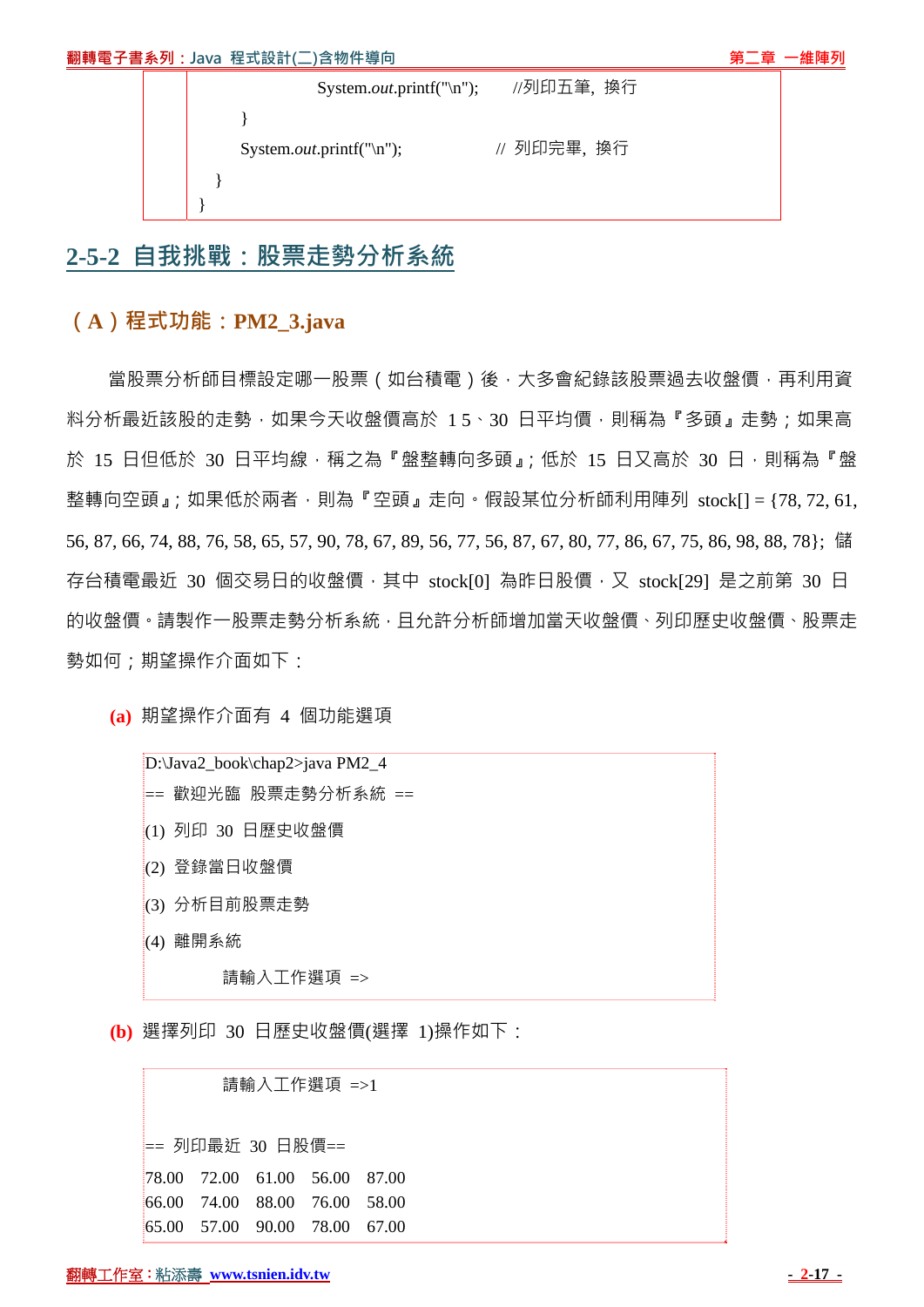| System. <i>out</i> .printf("\n"); | //列印五筆,換行   |  |
|-----------------------------------|-------------|--|
|                                   |             |  |
| System. <i>out</i> .printf("\n"); | // 列印完畢, 换行 |  |
|                                   |             |  |
|                                   |             |  |

## **2-5-2 自我挑戰:股票走勢分析系統**

## **(A)程式功能:PM2\_3.java**

當股票分析師目標設定哪一股票(如台積電)後,大多會紀錄該股票過去收盤價,再利用資 料分析最近該股的走勢,如果今天收盤價高於 15、30 日平均價,則稱為『多頭』走勢;如果高 於 15 日但低於 30 日平均線,稱之為『盤整轉向多頭』;低於 15 日又高於 30 日,則稱為『盤 整轉向空頭』;如果低於兩者,則為『空頭』走向。假設某位分析師利用陣列 stock[] = {78,72,61, 56, 87, 66, 74, 88, 76, 58, 65, 57, 90, 78, 67, 89, 56, 77, 56, 87, 67, 80, 77, 86, 67, 75, 86, 98, 88, 78}; 儲 存台積電最近 30 個交易日的收盤價, 其中 stock[0] 為昨日股價, 又 stock[29] 是之前第 30 日 的收盤價。請製作一股票走勢分析系統,且允許分析師增加當天收盤價、列印歷史收盤價、股票走 勢如何;期望操作介面如下:

**(a)** 期望操作介面有 4 個功能選項

D:\Java2\_book\chap2>java PM2\_4 == 歡迎光臨 股票走勢分析系統 == (1) 列印 30 日歷史收盤價 (2) 登錄當日收盤價 (3) 分析目前股票走勢 (4) 離開系統

請輸入工作選項 =>

**(b)** 選擇列印 30 日歷史收盤價(選擇 1)操作如下:

# 請輸入工作選項 =>1

== 列印最近 30 日股價==

78.00 72.00 61.00 56.00 87.00 66.00 74.00 88.00 76.00 58.00 65.00 57.00 90.00 78.00 67.00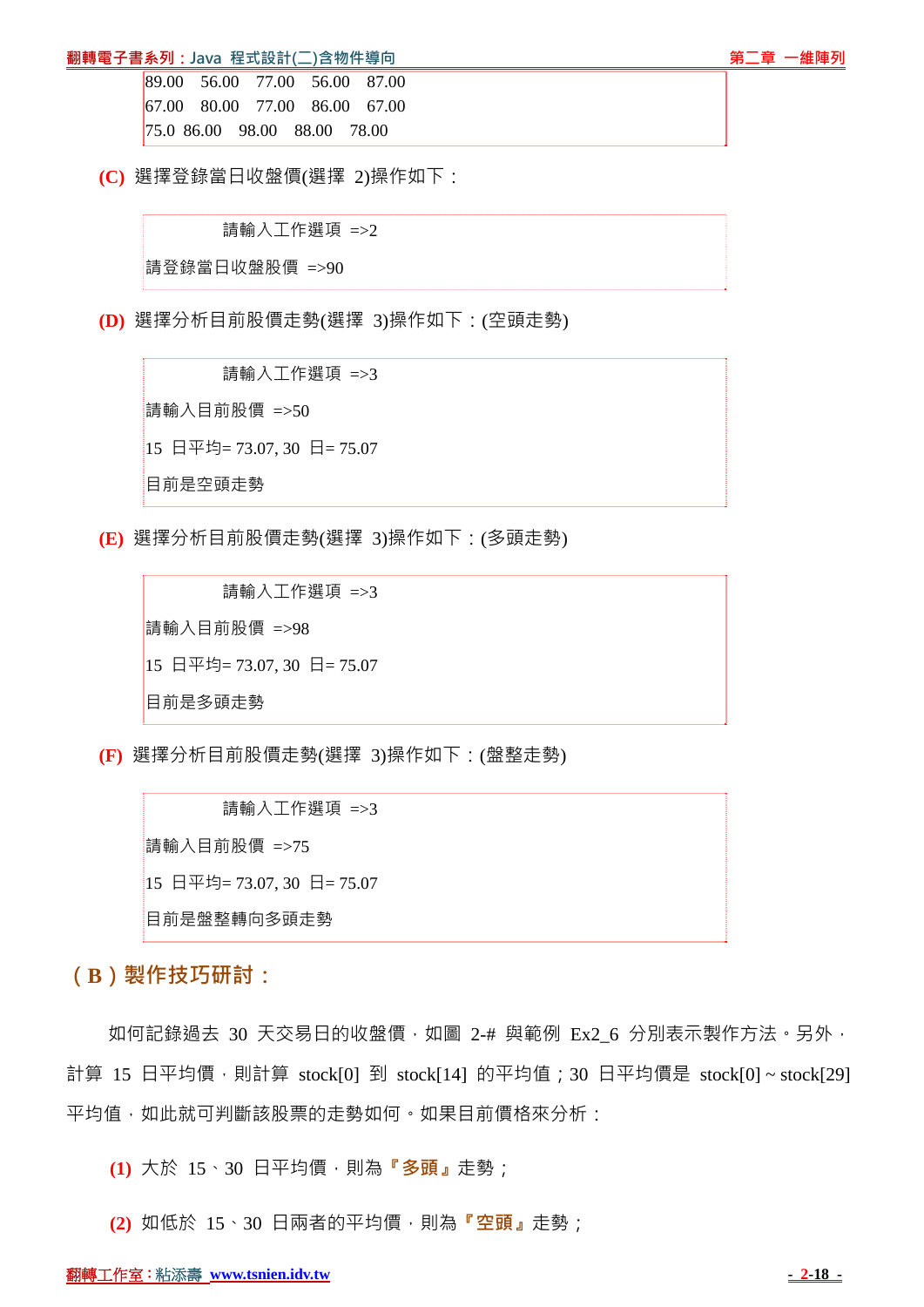#### **翻轉電子書系列:Java 程式設計(二)含物件導向 『『『『『『』』『『『』』『『』』『第二章 一維陣列**

89.00 56.00 77.00 56.00 87.00 67.00 80.00 77.00 86.00 67.00 75.0 86.00 98.00 88.00 78.00

**(C)** 選擇登錄當日收盤價(選擇 2)操作如下:

請輸入工作選項 =>2

請登錄當日收盤股價 =>90

**(D)** 選擇分析目前股價走勢(選擇 3)操作如下:(空頭走勢)

 請輸入工作選項 =>3 請輸入目前股價 =>50 15 日平均= 73.07, 30 日= 75.07 目前是空頭走勢

**(E)** 選擇分析目前股價走勢(選擇 3)操作如下:(多頭走勢)

 請輸入工作選項 =>3 請輸入目前股價 =>98 15 日平均= 73.07, 30 日= 75.07 目前是多頭走勢

**(F)** 選擇分析目前股價走勢(選擇 3)操作如下:(盤整走勢)

 請輸入工作選項 =>3 請輸入目前股價 =>75 15 日平均= 73.07, 30 日= 75.07 目前是盤整轉向多頭走勢

**(B)製作技巧研討:**

如何記錄過去 30 天交易日的收盤價,如圖 2-# 與範例 Ex2 6 分別表示製作方法。另外, 計算 15 日平均價,則計算 stock[0] 到 stock[14] 的平均值; 30 日平均價是 stock[0]~stock[29] 平均值,如此就可判斷該股票的走勢如何。如果目前價格來分析:

**(1)** 大於 15、30 日平均價,則為**『多頭』**走勢;

**(2)** 如低於 15、30 日兩者的平均價,則為**『空頭』**走勢;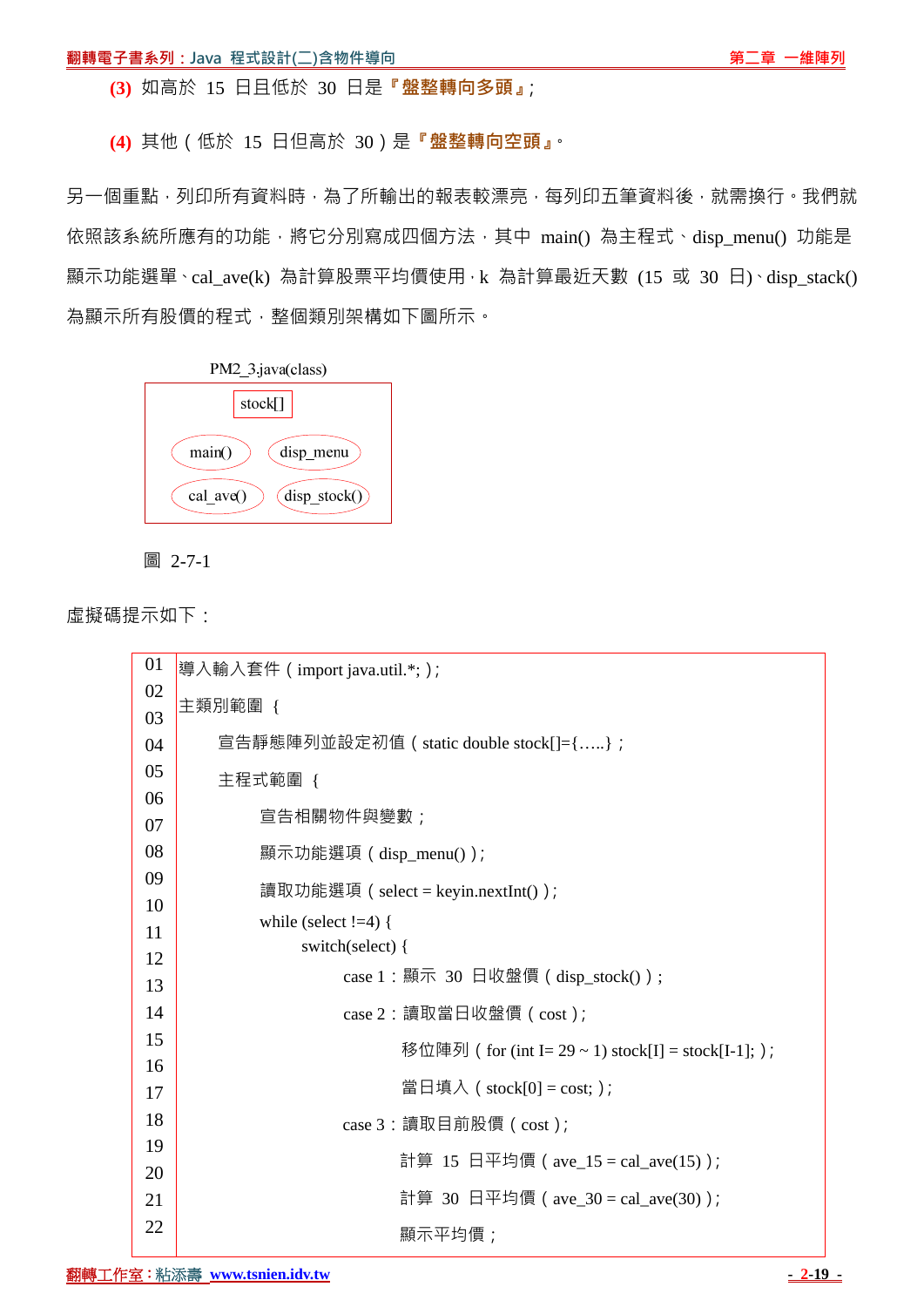**(3)** 如高於 15 日且低於 30 日是**『盤整轉向多頭』**;

**(4)** 其他(低於 15 日但高於 30)是**『盤整轉向空頭』**。

另一個重點,列印所有資料時,為了所輸出的報表較漂亮,每列印五筆資料後,就需換行。我們就 依照該系統所應有的功能,將它分別寫成四個方法,其中 main()為主程式、disp\_menu() 功能是 顯示功能選單、cal\_ave(k) 為計算股票平均價使用, k 為計算最近天數 (15 或 30 日)、disp\_stack() 為顯示所有股價的程式,整個類別架構如下圖所示。





虛擬碼提示如下:

| 01       | 導入輸入套件 ( import java.util.*; );                      |  |  |  |  |
|----------|------------------------------------------------------|--|--|--|--|
| 02       | 主類別範圍 {                                              |  |  |  |  |
| 03       |                                                      |  |  |  |  |
| 04<br>05 | 宣告靜態陣列並設定初值 ( static double stock[]={};              |  |  |  |  |
| 06       | 主程式範圍 {                                              |  |  |  |  |
| 07       | 宣告相關物件與變數;                                           |  |  |  |  |
| 08       | 顯示功能選項(disp_menu());                                 |  |  |  |  |
| 09       | 讀取功能選項 ( select = keyin.nextInt() );                 |  |  |  |  |
| 10       | while (select $!=4$ ) {                              |  |  |  |  |
| 11       | switch(select) {                                     |  |  |  |  |
| 12       | case 1 : 顯示 30 日收盤價 ( disp_stock() ) ;               |  |  |  |  |
| 13       |                                                      |  |  |  |  |
| 14       | case 2 : 讀取當日收盤價 (cost);                             |  |  |  |  |
| 15       | 移位陣列 ( for (int I= 29 ~ 1) stock[I] = stock[I-1]; ); |  |  |  |  |
| 16       | 當日填入 ( stock[0] = cost; );                           |  |  |  |  |
| 17       |                                                      |  |  |  |  |
| 18       | case 3: 讀取目前股價 ( cost );                             |  |  |  |  |
| 19       | 計算 15 日平均價 ( ave_15 = cal_ave(15) );                 |  |  |  |  |
| 20       |                                                      |  |  |  |  |
| 21       | 計算 30 日平均價 ( ave_30 = cal_ave(30) );                 |  |  |  |  |
| 22       | 顯示平均價;                                               |  |  |  |  |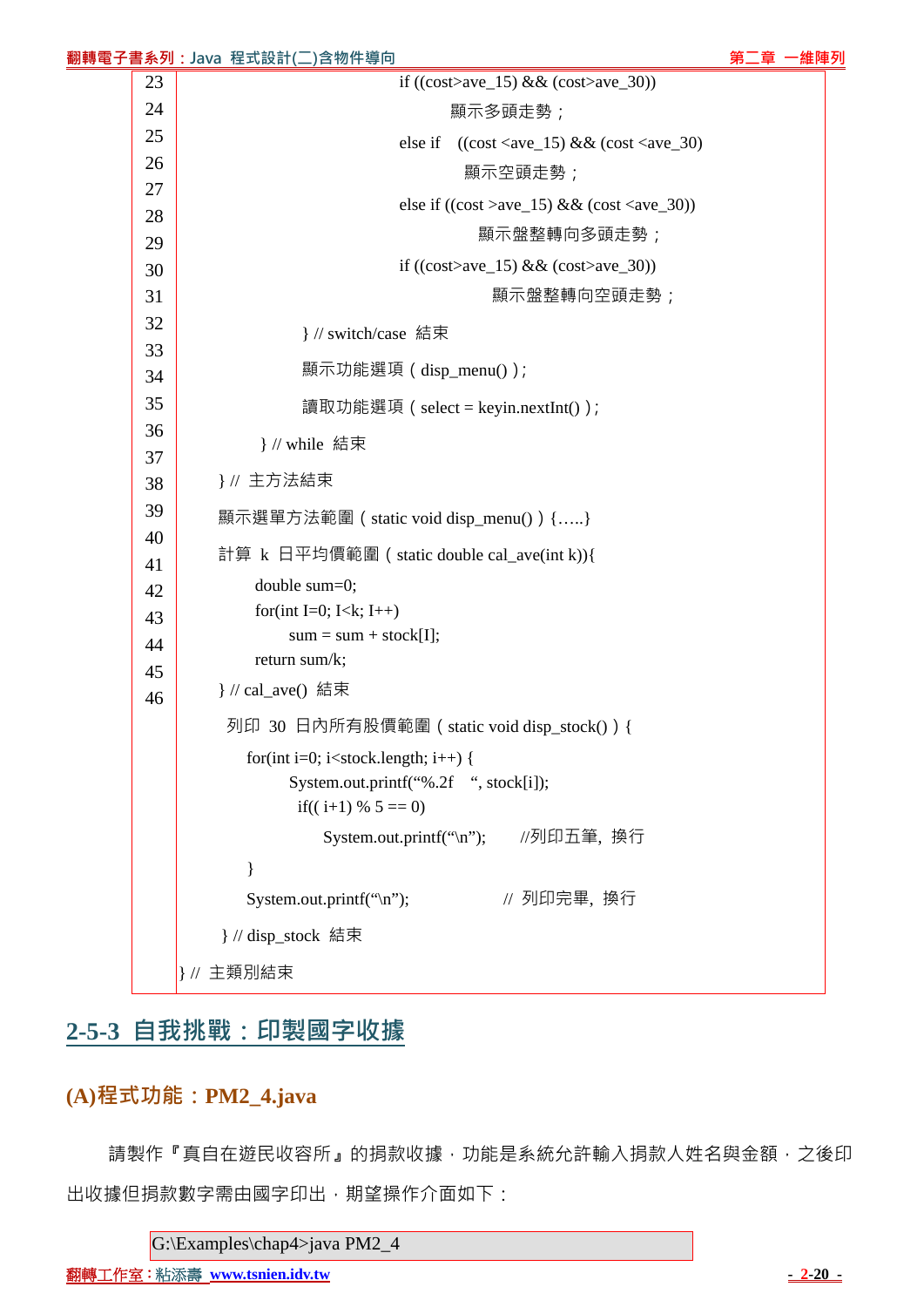| if $((\text{cost} > \text{ave}\_15) \& \& (\text{cost} > \text{ave}\_30))$<br>23<br>24<br>顯示多頭走勢;<br>25<br>$((\text{cost} < \text{ave}\_15) \& \& (\text{cost} < \text{ave}\_30)$<br>else if<br>26<br>顯示空頭走勢;<br>27<br>else if $((\cos t > \text{ave}\_15) \& \& (\cos t < \text{ave}\_30))$<br>28<br>顯示盤整轉向多頭走勢;<br>29<br>if $((\text{cost} > \text{ave}\_15) \& \& (\text{cost} > \text{ave}\_30))$<br>30<br>31<br>顯示盤整轉向空頭走勢;<br>32<br>}// switch/case 結束<br>33<br>顯示功能選項 (disp_menu());<br>34<br>35<br>讀取功能選項 ( select = keyin.nextInt() );<br>36<br>} // while 結束<br>37<br>}// 主方法結束<br>38<br>39<br>顯示選單方法範圍 ( static void disp_menu() ) {}<br>40<br>計算 k 日平均價範圍 ( static double cal_ave(int k)){<br>41<br>double sum=0;<br>42<br>for(int I=0; I <k; i++)<br="">43<br/><math>sum = sum + stock[I];</math><br/>44<br/>return sum/k;<br/>45<br/>} // cal_ave() 結束<br/>46<br/>列印 30 日內所有股價範圍 ( static void disp_stock() ) {<br/>for(int i=0; i<stock.length; i++)="" {<br="">System.out.printf("%.2f ", stock[i]);<br/>if((i+1) % <math>5 == 0</math>)<br/>System.out.printf("\n"); //列印五筆, 換行<br/>// 列印完畢, 换行<br/>System.out.printf("\n");<br/>} // disp_stock 結束</stock.length;></k;> |  |  | 翻轉電子書系列:Java 程式設計(二)含物件導向 | 第二章 一維陣列 |  |  |  |  |  |
|-------------------------------------------------------------------------------------------------------------------------------------------------------------------------------------------------------------------------------------------------------------------------------------------------------------------------------------------------------------------------------------------------------------------------------------------------------------------------------------------------------------------------------------------------------------------------------------------------------------------------------------------------------------------------------------------------------------------------------------------------------------------------------------------------------------------------------------------------------------------------------------------------------------------------------------------------------------------------------------------------------------------------------------------------------------------------------------------------------------------------------------------------------------------------------------------|--|--|---------------------------|----------|--|--|--|--|--|
|                                                                                                                                                                                                                                                                                                                                                                                                                                                                                                                                                                                                                                                                                                                                                                                                                                                                                                                                                                                                                                                                                                                                                                                           |  |  |                           |          |  |  |  |  |  |
|                                                                                                                                                                                                                                                                                                                                                                                                                                                                                                                                                                                                                                                                                                                                                                                                                                                                                                                                                                                                                                                                                                                                                                                           |  |  |                           |          |  |  |  |  |  |
|                                                                                                                                                                                                                                                                                                                                                                                                                                                                                                                                                                                                                                                                                                                                                                                                                                                                                                                                                                                                                                                                                                                                                                                           |  |  |                           |          |  |  |  |  |  |
|                                                                                                                                                                                                                                                                                                                                                                                                                                                                                                                                                                                                                                                                                                                                                                                                                                                                                                                                                                                                                                                                                                                                                                                           |  |  |                           |          |  |  |  |  |  |
|                                                                                                                                                                                                                                                                                                                                                                                                                                                                                                                                                                                                                                                                                                                                                                                                                                                                                                                                                                                                                                                                                                                                                                                           |  |  |                           |          |  |  |  |  |  |
|                                                                                                                                                                                                                                                                                                                                                                                                                                                                                                                                                                                                                                                                                                                                                                                                                                                                                                                                                                                                                                                                                                                                                                                           |  |  |                           |          |  |  |  |  |  |
|                                                                                                                                                                                                                                                                                                                                                                                                                                                                                                                                                                                                                                                                                                                                                                                                                                                                                                                                                                                                                                                                                                                                                                                           |  |  |                           |          |  |  |  |  |  |
|                                                                                                                                                                                                                                                                                                                                                                                                                                                                                                                                                                                                                                                                                                                                                                                                                                                                                                                                                                                                                                                                                                                                                                                           |  |  |                           |          |  |  |  |  |  |
|                                                                                                                                                                                                                                                                                                                                                                                                                                                                                                                                                                                                                                                                                                                                                                                                                                                                                                                                                                                                                                                                                                                                                                                           |  |  |                           |          |  |  |  |  |  |
|                                                                                                                                                                                                                                                                                                                                                                                                                                                                                                                                                                                                                                                                                                                                                                                                                                                                                                                                                                                                                                                                                                                                                                                           |  |  |                           |          |  |  |  |  |  |
|                                                                                                                                                                                                                                                                                                                                                                                                                                                                                                                                                                                                                                                                                                                                                                                                                                                                                                                                                                                                                                                                                                                                                                                           |  |  |                           |          |  |  |  |  |  |
|                                                                                                                                                                                                                                                                                                                                                                                                                                                                                                                                                                                                                                                                                                                                                                                                                                                                                                                                                                                                                                                                                                                                                                                           |  |  |                           |          |  |  |  |  |  |
|                                                                                                                                                                                                                                                                                                                                                                                                                                                                                                                                                                                                                                                                                                                                                                                                                                                                                                                                                                                                                                                                                                                                                                                           |  |  |                           |          |  |  |  |  |  |
|                                                                                                                                                                                                                                                                                                                                                                                                                                                                                                                                                                                                                                                                                                                                                                                                                                                                                                                                                                                                                                                                                                                                                                                           |  |  |                           |          |  |  |  |  |  |
|                                                                                                                                                                                                                                                                                                                                                                                                                                                                                                                                                                                                                                                                                                                                                                                                                                                                                                                                                                                                                                                                                                                                                                                           |  |  |                           |          |  |  |  |  |  |
|                                                                                                                                                                                                                                                                                                                                                                                                                                                                                                                                                                                                                                                                                                                                                                                                                                                                                                                                                                                                                                                                                                                                                                                           |  |  |                           |          |  |  |  |  |  |
|                                                                                                                                                                                                                                                                                                                                                                                                                                                                                                                                                                                                                                                                                                                                                                                                                                                                                                                                                                                                                                                                                                                                                                                           |  |  |                           |          |  |  |  |  |  |
|                                                                                                                                                                                                                                                                                                                                                                                                                                                                                                                                                                                                                                                                                                                                                                                                                                                                                                                                                                                                                                                                                                                                                                                           |  |  |                           |          |  |  |  |  |  |
|                                                                                                                                                                                                                                                                                                                                                                                                                                                                                                                                                                                                                                                                                                                                                                                                                                                                                                                                                                                                                                                                                                                                                                                           |  |  |                           |          |  |  |  |  |  |
|                                                                                                                                                                                                                                                                                                                                                                                                                                                                                                                                                                                                                                                                                                                                                                                                                                                                                                                                                                                                                                                                                                                                                                                           |  |  |                           |          |  |  |  |  |  |
|                                                                                                                                                                                                                                                                                                                                                                                                                                                                                                                                                                                                                                                                                                                                                                                                                                                                                                                                                                                                                                                                                                                                                                                           |  |  |                           |          |  |  |  |  |  |
|                                                                                                                                                                                                                                                                                                                                                                                                                                                                                                                                                                                                                                                                                                                                                                                                                                                                                                                                                                                                                                                                                                                                                                                           |  |  |                           |          |  |  |  |  |  |
|                                                                                                                                                                                                                                                                                                                                                                                                                                                                                                                                                                                                                                                                                                                                                                                                                                                                                                                                                                                                                                                                                                                                                                                           |  |  |                           |          |  |  |  |  |  |
|                                                                                                                                                                                                                                                                                                                                                                                                                                                                                                                                                                                                                                                                                                                                                                                                                                                                                                                                                                                                                                                                                                                                                                                           |  |  |                           |          |  |  |  |  |  |
|                                                                                                                                                                                                                                                                                                                                                                                                                                                                                                                                                                                                                                                                                                                                                                                                                                                                                                                                                                                                                                                                                                                                                                                           |  |  |                           |          |  |  |  |  |  |
|                                                                                                                                                                                                                                                                                                                                                                                                                                                                                                                                                                                                                                                                                                                                                                                                                                                                                                                                                                                                                                                                                                                                                                                           |  |  |                           |          |  |  |  |  |  |
|                                                                                                                                                                                                                                                                                                                                                                                                                                                                                                                                                                                                                                                                                                                                                                                                                                                                                                                                                                                                                                                                                                                                                                                           |  |  |                           |          |  |  |  |  |  |
|                                                                                                                                                                                                                                                                                                                                                                                                                                                                                                                                                                                                                                                                                                                                                                                                                                                                                                                                                                                                                                                                                                                                                                                           |  |  |                           |          |  |  |  |  |  |
|                                                                                                                                                                                                                                                                                                                                                                                                                                                                                                                                                                                                                                                                                                                                                                                                                                                                                                                                                                                                                                                                                                                                                                                           |  |  |                           |          |  |  |  |  |  |
|                                                                                                                                                                                                                                                                                                                                                                                                                                                                                                                                                                                                                                                                                                                                                                                                                                                                                                                                                                                                                                                                                                                                                                                           |  |  |                           |          |  |  |  |  |  |
|                                                                                                                                                                                                                                                                                                                                                                                                                                                                                                                                                                                                                                                                                                                                                                                                                                                                                                                                                                                                                                                                                                                                                                                           |  |  | }// 主類別結束                 |          |  |  |  |  |  |

# **2-5-3 自我挑戰:印製國字收據**

## **(A)程式功能:PM2\_4.java**

請製作『真自在遊民收容所』的捐款收據,功能是系統允許輸入捐款人姓名與金額,之後印 出收據但捐款數字需由國字印出,期望操作介面如下:

G:\Examples\chap4>java PM2\_4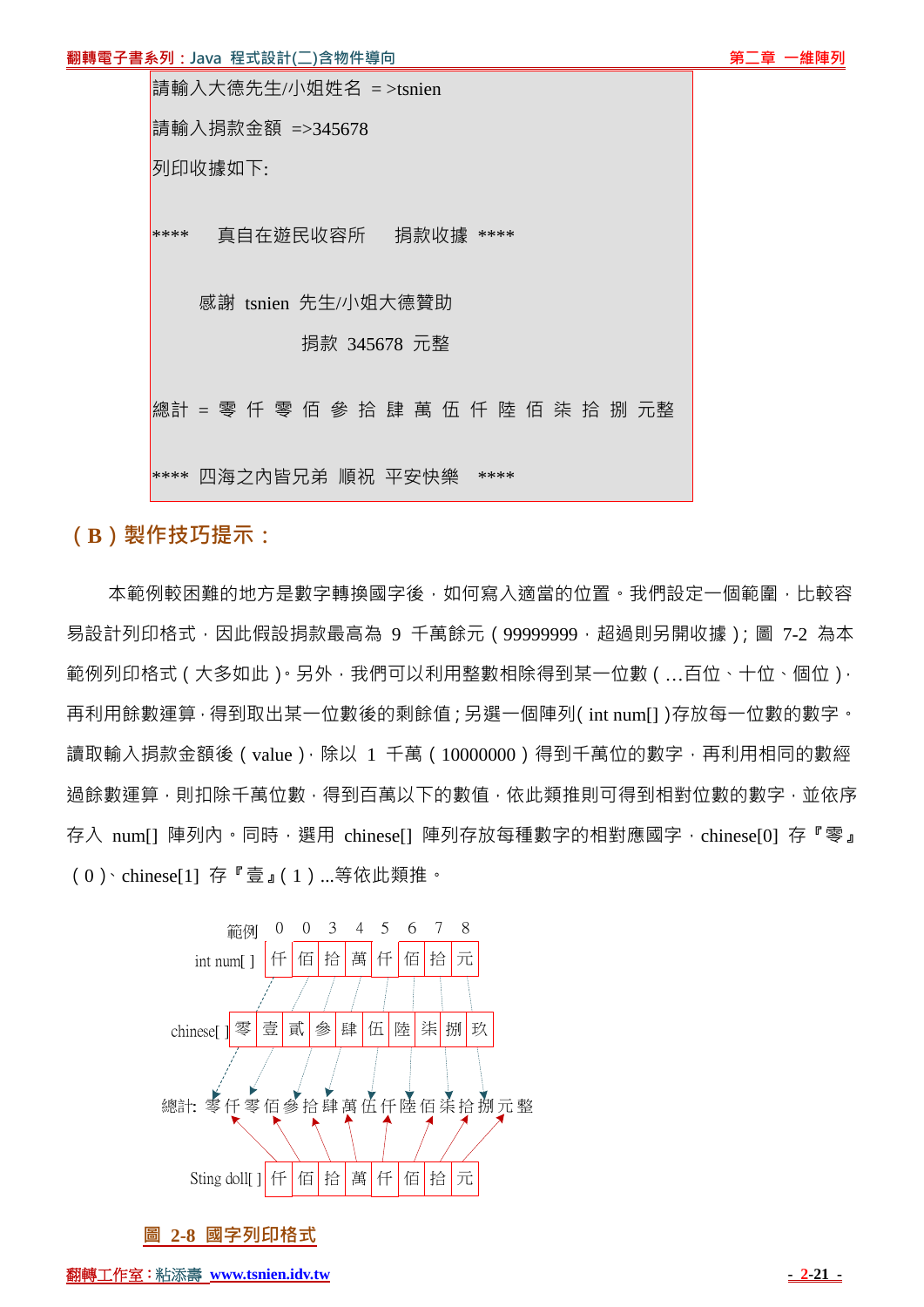#### **翻轉電子書系列:Java 程式設計(二)含物件導向 『『『『『『』』『『『』』『『』』『第二章 一維陣列**

| 請輸入大德先生/小姐姓名 =>tsnien                 |  |  |
|---------------------------------------|--|--|
| 請輸入捐款金額 =>345678                      |  |  |
| 列印收據如下:                               |  |  |
| 真自在遊民收容所   捐款收據 ****<br>****          |  |  |
| 感謝 tsnien 先生/小姐大德贊助                   |  |  |
| 捐款 345678 元整                          |  |  |
| 總計 = 零 仟 零 佰 參 拾 肆 萬 伍 仟 陸 佰 柒 拾 捌 元整 |  |  |
| 四海之内皆兄弟 順祝 平安快樂<br>****<br>****       |  |  |

**(B)製作技巧提示:**

本範例較困難的地方是數字轉換國字後,如何寫入適當的位置。我們設定一個範圍,比較容 易設計列印格式,因此假設捐款最高為 9 千萬餘元 (99999999, 超過則另開收據);圖 7-2 為本 範例列印格式(大多如此)。另外,我們可以利用整數相除得到某一位數(…百位、十位、個位), 再利用餘數運算,得到取出某一位數後的剩餘值;另選一個陣列(int num[])存放每一位數的數字。 讀取輸入捐款金額後 (value), 除以 1 千萬 (10000000) 得到千萬位的數字, 再利用相同的數經 過餘數運算,則扣除千萬位數,得到百萬以下的數值,依此類推則可得到相對位數的數字,並依序 存入 num[] 陣列內。同時,選用 chinese[] 陣列存放每種數字的相對應國字,chinese[0] 存『零』 (0)、chinese[1] 存『壹』(1)...等依此類推。



**圖 2-8 國字列印格式**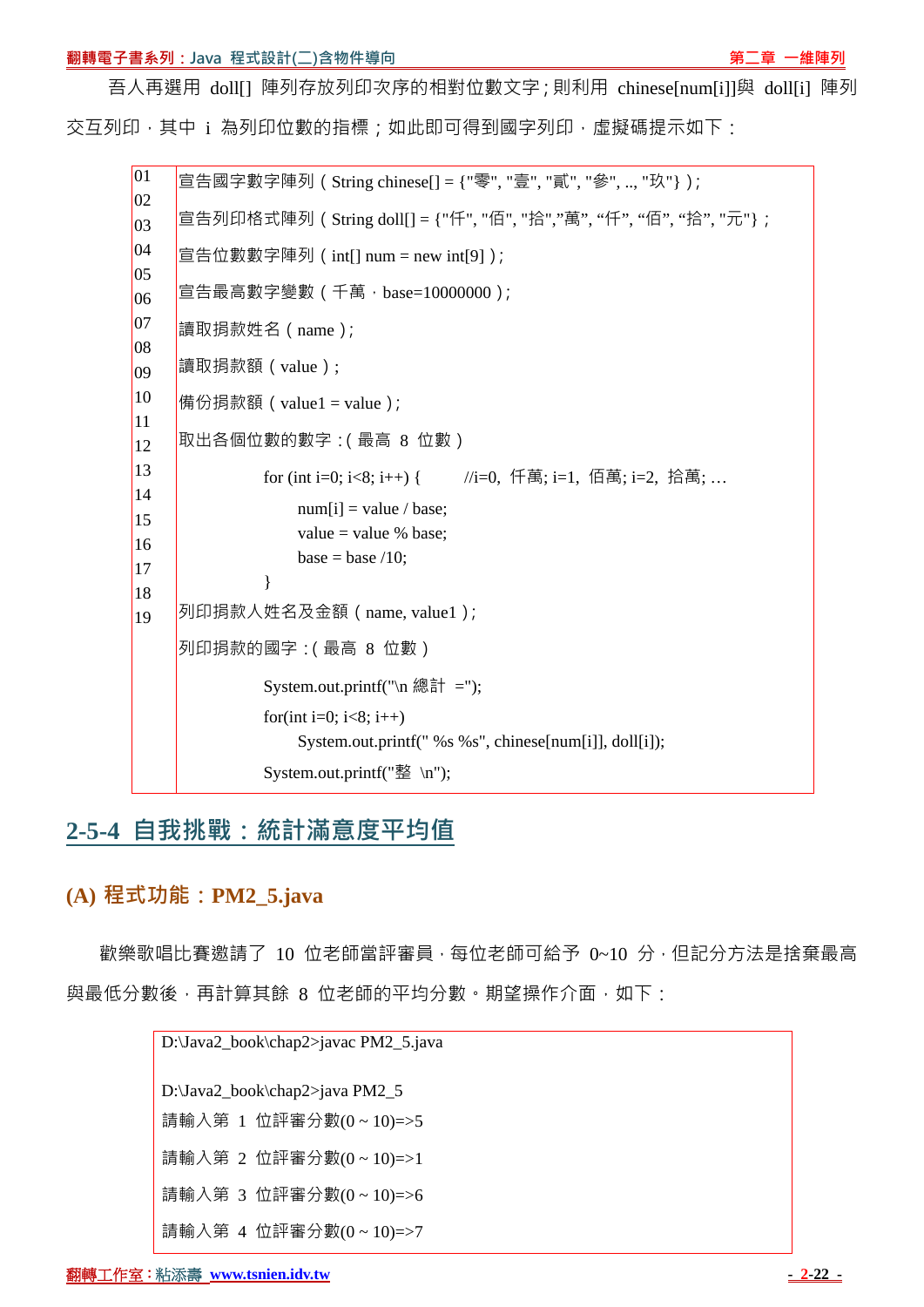#### **翻轉電子書系列:Java 程式設計(二)含物件導向 『『『『『『』』『『『』』『『』』『第二章 一維陣列**

吾人再選用 doll[1 陣列存放列印次序的相對位數文字;則利用 chinese[num[i]]與 doll[i] 陣列 交互列印,其中 i 為列印位數的指標;如此即可得到國字列印,虛擬碼提示如下:

01  $|_{02}$  $|03\rangle$  $|04$  $|05\rangle$ 06  $|07\rangle$ 08 09 10 11 12 13 14 15 16 17 18 19 宣告國字數字陣列(String chinese[] = {"零", "壹", "貳", "參", .., "玖"}); 宣告列印格式陣列(String doll[] = {"仟", "佰", "拾","萬", "仟", "佰", "拾", "元"};  $\equiv$  告位數數字陣列 (int[] num = new int[9]);  $|\widehat{\Xi}|$ 告最高數字變數 ( 千萬, base=10000000 ); 讀取捐款姓名(name); 讀取捐款額(value); 情份捐款額 ( value1 = value ); 取出各個位數的數字:(最高 8 位數) for (int i=0; i<8; i++) { //i=0, 仟萬; i=1, 佰萬; i=2, 拾萬; ...  $num[i] = value / base;$ value  $=$  value % base; base  $=$  base  $/10$ : } 列印捐款人姓名及金額(name, value1); 列印捐款的國字:(最高 8 位數) System.out.printf("\n 總計 ="); for(int i=0;  $i<8$ ; i++) System.out.printf(" %s %s", chinese[num[i]], doll[i]); System.out.printf("整 \n");

# **2-5-4 自我挑戰:統計滿意度平均值**

## **(A) 程式功能:PM2\_5.java**

歡樂歌唱比賽激請了 10 位老師當評審員,每位老師可給予 0~10 分,但記分方法是捨棄最高 與最低分數後,再計算其餘 8 位老師的平均分數。期望操作介面,如下:

> D:\Java2\_book\chap2>javac PM2\_5.java D:\Java2\_book\chap2>java PM2\_5 請輸入第 1 位評審分數(0 ~ 10)=>5 請輸入第 2 位評審分數(0 ~ 10)=>1 請輸入第 3 位評審分數(0 ~ 10)=>6 請輸入第 4 位評審分數(0 ~ 10)=>7